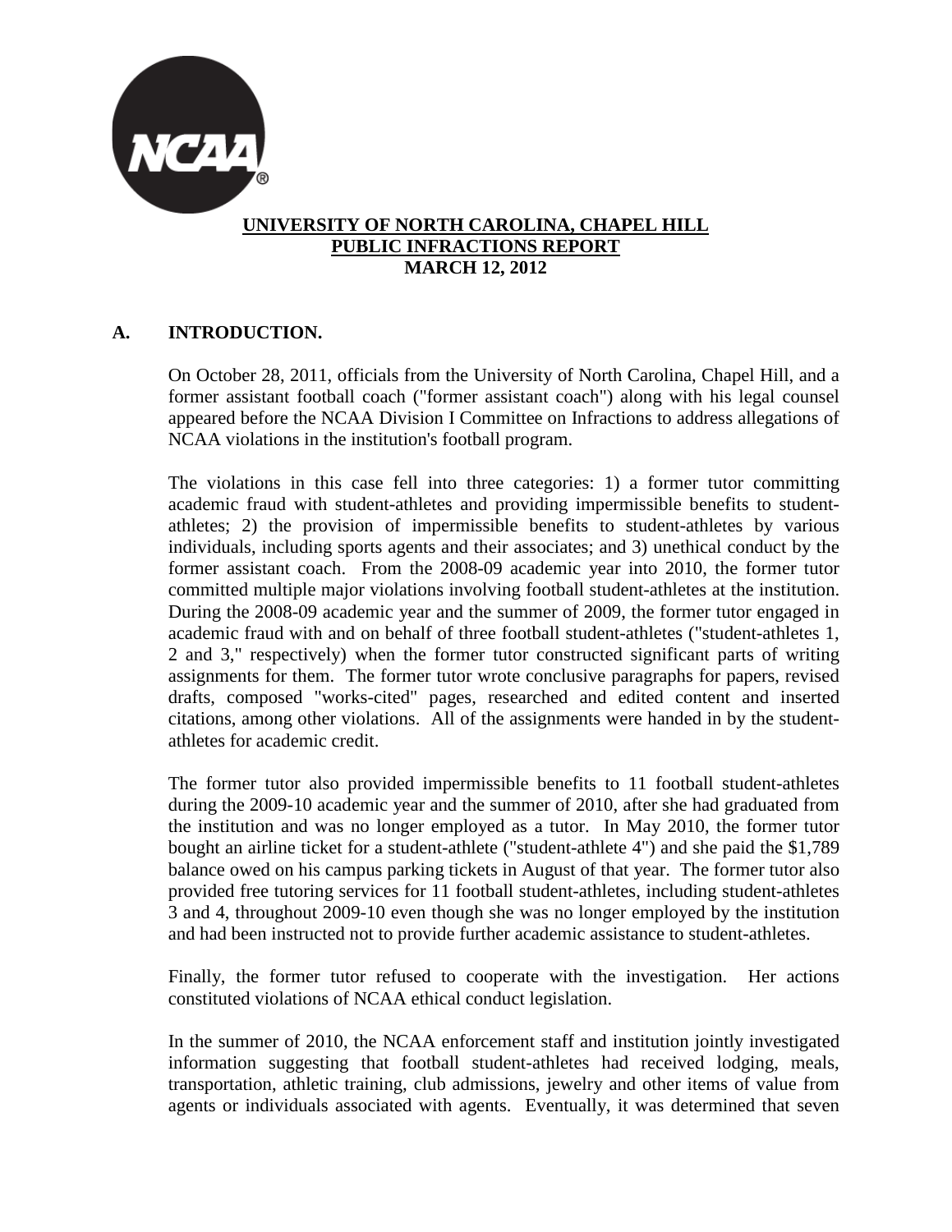

### **UNIVERSITY OF NORTH CAROLINA, CHAPEL HILL PUBLIC INFRACTIONS REPORT MARCH 12, 2012**

## **A. INTRODUCTION.**

On October 28, 2011, officials from the University of North Carolina, Chapel Hill, and a former assistant football coach ("former assistant coach") along with his legal counsel appeared before the NCAA Division I Committee on Infractions to address allegations of NCAA violations in the institution's football program.

The violations in this case fell into three categories: 1) a former tutor committing academic fraud with student-athletes and providing impermissible benefits to studentathletes; 2) the provision of impermissible benefits to student-athletes by various individuals, including sports agents and their associates; and 3) unethical conduct by the former assistant coach. From the 2008-09 academic year into 2010, the former tutor committed multiple major violations involving football student-athletes at the institution. During the 2008-09 academic year and the summer of 2009, the former tutor engaged in academic fraud with and on behalf of three football student-athletes ("student-athletes 1, 2 and 3," respectively) when the former tutor constructed significant parts of writing assignments for them. The former tutor wrote conclusive paragraphs for papers, revised drafts, composed "works-cited" pages, researched and edited content and inserted citations, among other violations. All of the assignments were handed in by the studentathletes for academic credit.

The former tutor also provided impermissible benefits to 11 football student-athletes during the 2009-10 academic year and the summer of 2010, after she had graduated from the institution and was no longer employed as a tutor. In May 2010, the former tutor bought an airline ticket for a student-athlete ("student-athlete 4") and she paid the \$1,789 balance owed on his campus parking tickets in August of that year. The former tutor also provided free tutoring services for 11 football student-athletes, including student-athletes 3 and 4, throughout 2009-10 even though she was no longer employed by the institution and had been instructed not to provide further academic assistance to student-athletes.

Finally, the former tutor refused to cooperate with the investigation. Her actions constituted violations of NCAA ethical conduct legislation.

In the summer of 2010, the NCAA enforcement staff and institution jointly investigated information suggesting that football student-athletes had received lodging, meals, transportation, athletic training, club admissions, jewelry and other items of value from agents or individuals associated with agents. Eventually, it was determined that seven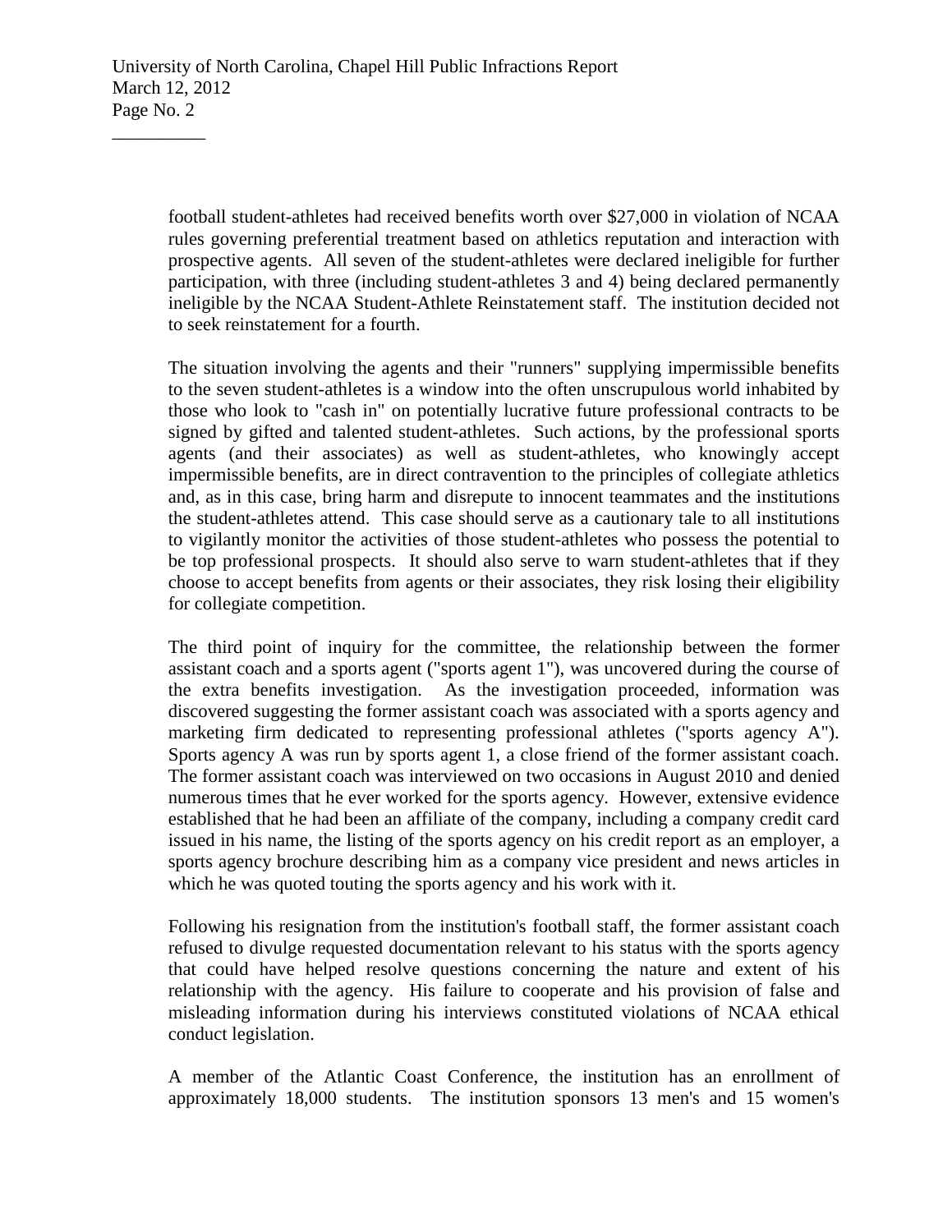football student-athletes had received benefits worth over \$27,000 in violation of NCAA rules governing preferential treatment based on athletics reputation and interaction with prospective agents. All seven of the student-athletes were declared ineligible for further participation, with three (including student-athletes 3 and 4) being declared permanently ineligible by the NCAA Student-Athlete Reinstatement staff. The institution decided not to seek reinstatement for a fourth.

The situation involving the agents and their "runners" supplying impermissible benefits to the seven student-athletes is a window into the often unscrupulous world inhabited by those who look to "cash in" on potentially lucrative future professional contracts to be signed by gifted and talented student-athletes. Such actions, by the professional sports agents (and their associates) as well as student-athletes, who knowingly accept impermissible benefits, are in direct contravention to the principles of collegiate athletics and, as in this case, bring harm and disrepute to innocent teammates and the institutions the student-athletes attend. This case should serve as a cautionary tale to all institutions to vigilantly monitor the activities of those student-athletes who possess the potential to be top professional prospects. It should also serve to warn student-athletes that if they choose to accept benefits from agents or their associates, they risk losing their eligibility for collegiate competition.

The third point of inquiry for the committee, the relationship between the former assistant coach and a sports agent ("sports agent 1"), was uncovered during the course of the extra benefits investigation. As the investigation proceeded, information was discovered suggesting the former assistant coach was associated with a sports agency and marketing firm dedicated to representing professional athletes ("sports agency A"). Sports agency A was run by sports agent 1, a close friend of the former assistant coach. The former assistant coach was interviewed on two occasions in August 2010 and denied numerous times that he ever worked for the sports agency. However, extensive evidence established that he had been an affiliate of the company, including a company credit card issued in his name, the listing of the sports agency on his credit report as an employer, a sports agency brochure describing him as a company vice president and news articles in which he was quoted touting the sports agency and his work with it.

Following his resignation from the institution's football staff, the former assistant coach refused to divulge requested documentation relevant to his status with the sports agency that could have helped resolve questions concerning the nature and extent of his relationship with the agency. His failure to cooperate and his provision of false and misleading information during his interviews constituted violations of NCAA ethical conduct legislation.

A member of the Atlantic Coast Conference, the institution has an enrollment of approximately 18,000 students. The institution sponsors 13 men's and 15 women's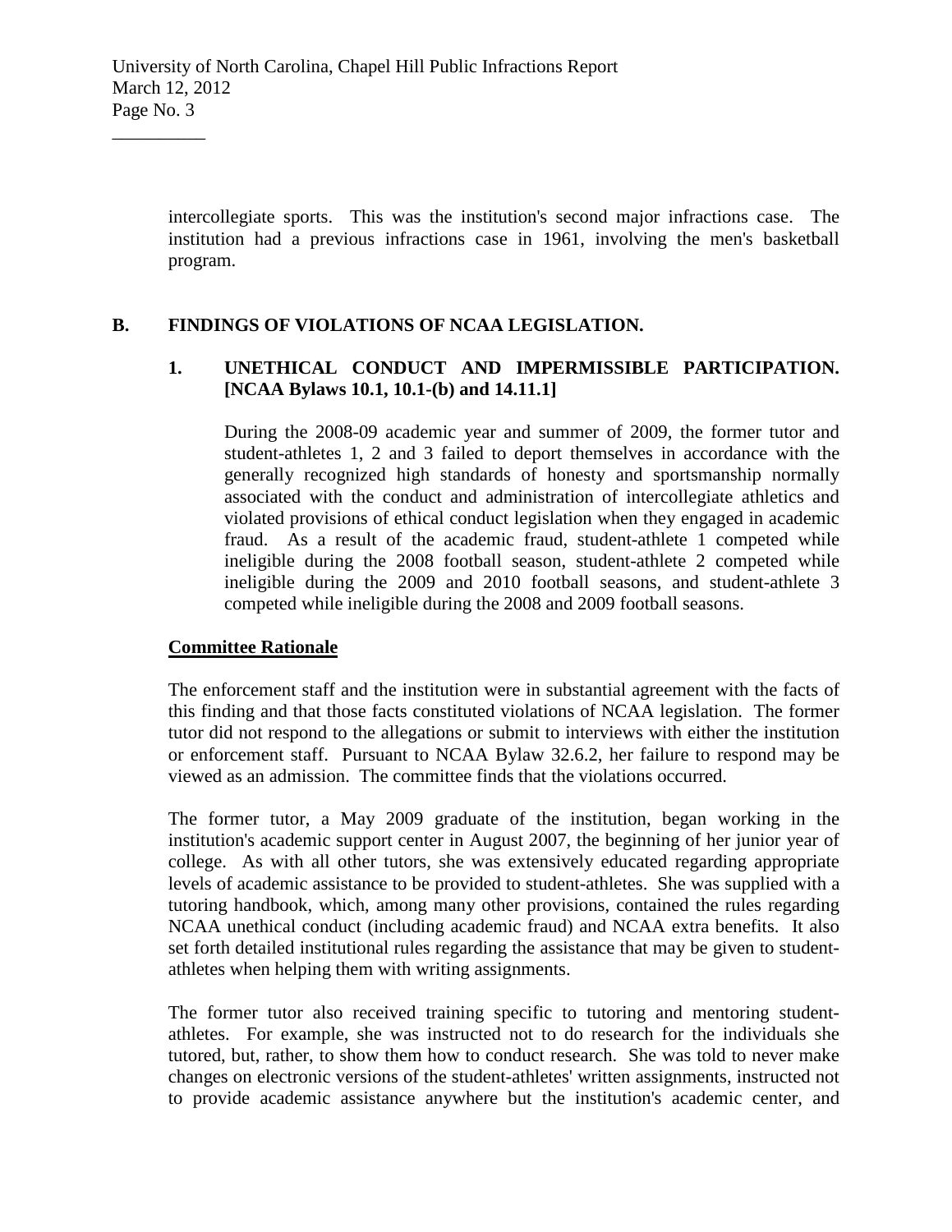intercollegiate sports. This was the institution's second major infractions case. The institution had a previous infractions case in 1961, involving the men's basketball program.

### **B. FINDINGS OF VIOLATIONS OF NCAA LEGISLATION.**

## **1. UNETHICAL CONDUCT AND IMPERMISSIBLE PARTICIPATION. [NCAA Bylaws 10.1, 10.1-(b) and 14.11.1]**

During the 2008-09 academic year and summer of 2009, the former tutor and student-athletes 1, 2 and 3 failed to deport themselves in accordance with the generally recognized high standards of honesty and sportsmanship normally associated with the conduct and administration of intercollegiate athletics and violated provisions of ethical conduct legislation when they engaged in academic fraud. As a result of the academic fraud, student-athlete 1 competed while ineligible during the 2008 football season, student-athlete 2 competed while ineligible during the 2009 and 2010 football seasons, and student-athlete 3 competed while ineligible during the 2008 and 2009 football seasons.

#### **Committee Rationale**

 $\overline{\phantom{a}}$  , where  $\overline{\phantom{a}}$ 

The enforcement staff and the institution were in substantial agreement with the facts of this finding and that those facts constituted violations of NCAA legislation. The former tutor did not respond to the allegations or submit to interviews with either the institution or enforcement staff. Pursuant to NCAA Bylaw 32.6.2, her failure to respond may be viewed as an admission. The committee finds that the violations occurred.

The former tutor, a May 2009 graduate of the institution, began working in the institution's academic support center in August 2007, the beginning of her junior year of college. As with all other tutors, she was extensively educated regarding appropriate levels of academic assistance to be provided to student-athletes. She was supplied with a tutoring handbook, which, among many other provisions, contained the rules regarding NCAA unethical conduct (including academic fraud) and NCAA extra benefits. It also set forth detailed institutional rules regarding the assistance that may be given to studentathletes when helping them with writing assignments.

The former tutor also received training specific to tutoring and mentoring studentathletes. For example, she was instructed not to do research for the individuals she tutored, but, rather, to show them how to conduct research. She was told to never make changes on electronic versions of the student-athletes' written assignments, instructed not to provide academic assistance anywhere but the institution's academic center, and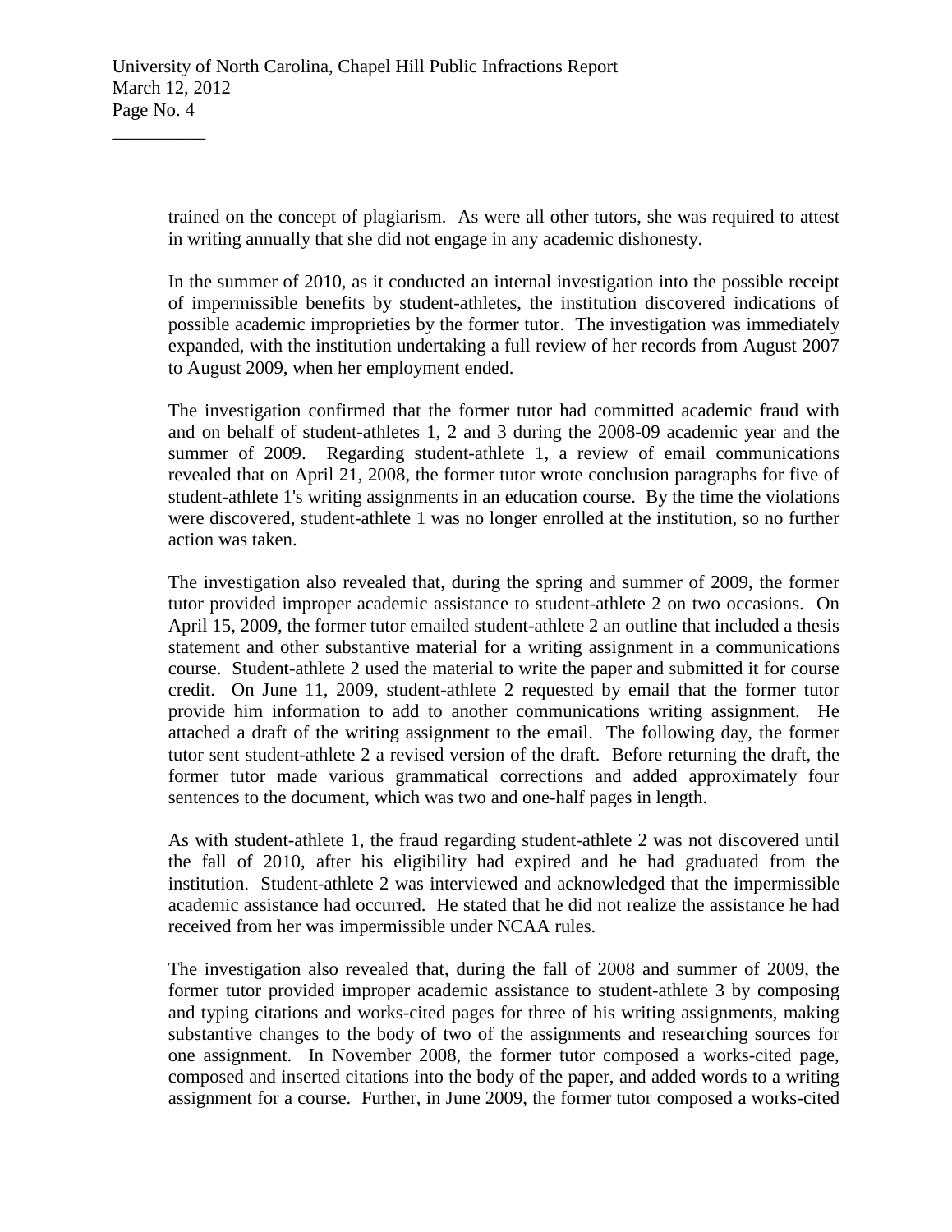trained on the concept of plagiarism. As were all other tutors, she was required to attest in writing annually that she did not engage in any academic dishonesty.

In the summer of 2010, as it conducted an internal investigation into the possible receipt of impermissible benefits by student-athletes, the institution discovered indications of possible academic improprieties by the former tutor. The investigation was immediately expanded, with the institution undertaking a full review of her records from August 2007 to August 2009, when her employment ended.

The investigation confirmed that the former tutor had committed academic fraud with and on behalf of student-athletes 1, 2 and 3 during the 2008-09 academic year and the summer of 2009. Regarding student-athlete 1, a review of email communications revealed that on April 21, 2008, the former tutor wrote conclusion paragraphs for five of student-athlete 1's writing assignments in an education course. By the time the violations were discovered, student-athlete 1 was no longer enrolled at the institution, so no further action was taken.

The investigation also revealed that, during the spring and summer of 2009, the former tutor provided improper academic assistance to student-athlete 2 on two occasions. On April 15, 2009, the former tutor emailed student-athlete 2 an outline that included a thesis statement and other substantive material for a writing assignment in a communications course. Student-athlete 2 used the material to write the paper and submitted it for course credit. On June 11, 2009, student-athlete 2 requested by email that the former tutor provide him information to add to another communications writing assignment. He attached a draft of the writing assignment to the email. The following day, the former tutor sent student-athlete 2 a revised version of the draft. Before returning the draft, the former tutor made various grammatical corrections and added approximately four sentences to the document, which was two and one-half pages in length.

As with student-athlete 1, the fraud regarding student-athlete 2 was not discovered until the fall of 2010, after his eligibility had expired and he had graduated from the institution. Student-athlete 2 was interviewed and acknowledged that the impermissible academic assistance had occurred. He stated that he did not realize the assistance he had received from her was impermissible under NCAA rules.

The investigation also revealed that, during the fall of 2008 and summer of 2009, the former tutor provided improper academic assistance to student-athlete 3 by composing and typing citations and works-cited pages for three of his writing assignments, making substantive changes to the body of two of the assignments and researching sources for one assignment. In November 2008, the former tutor composed a works-cited page, composed and inserted citations into the body of the paper, and added words to a writing assignment for a course. Further, in June 2009, the former tutor composed a works-cited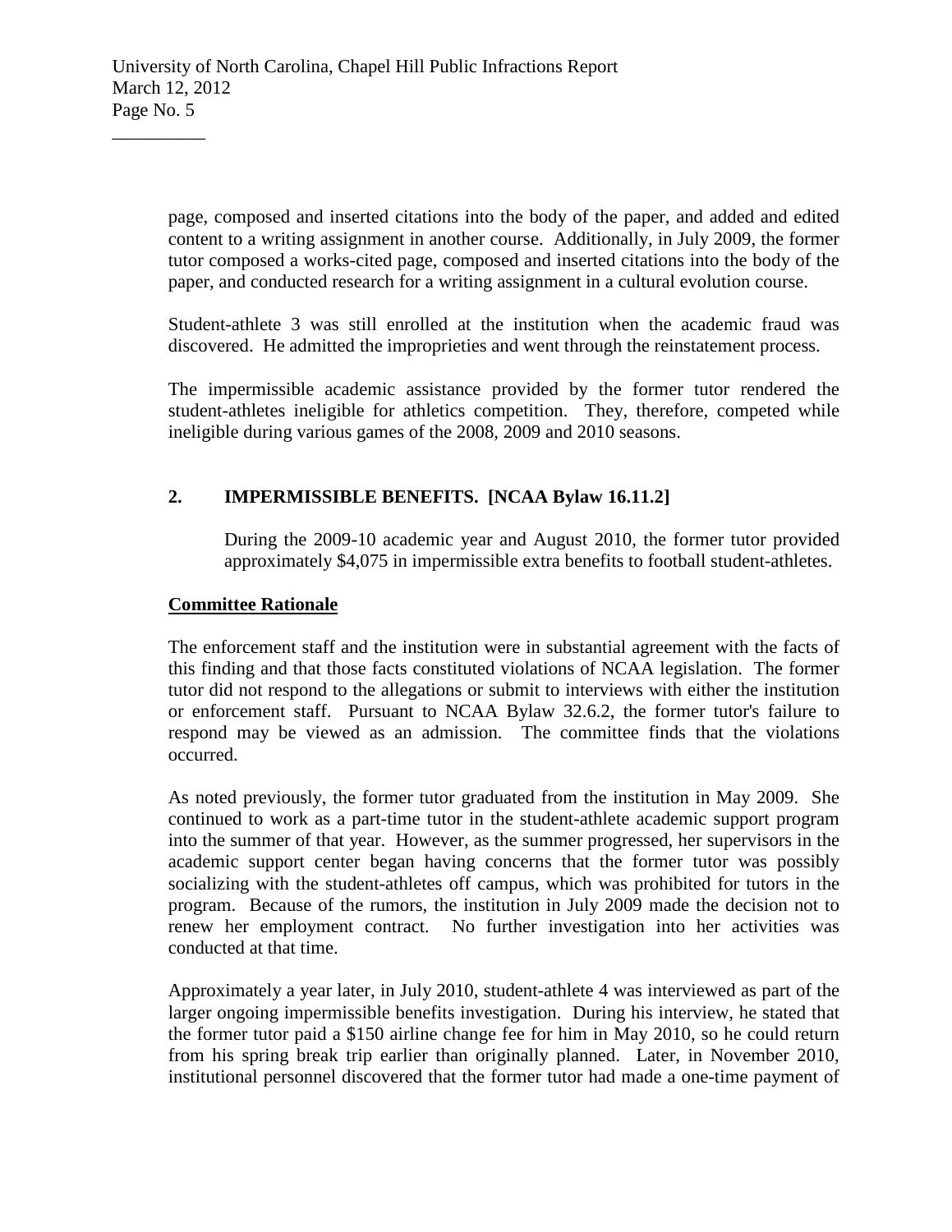page, composed and inserted citations into the body of the paper, and added and edited content to a writing assignment in another course. Additionally, in July 2009, the former tutor composed a works-cited page, composed and inserted citations into the body of the paper, and conducted research for a writing assignment in a cultural evolution course.

Student-athlete 3 was still enrolled at the institution when the academic fraud was discovered. He admitted the improprieties and went through the reinstatement process.

The impermissible academic assistance provided by the former tutor rendered the student-athletes ineligible for athletics competition. They, therefore, competed while ineligible during various games of the 2008, 2009 and 2010 seasons.

# **2. IMPERMISSIBLE BENEFITS. [NCAA Bylaw 16.11.2]**

During the 2009-10 academic year and August 2010, the former tutor provided approximately \$4,075 in impermissible extra benefits to football student-athletes.

# **Committee Rationale**

 $\overline{\phantom{a}}$  , where  $\overline{\phantom{a}}$ 

The enforcement staff and the institution were in substantial agreement with the facts of this finding and that those facts constituted violations of NCAA legislation. The former tutor did not respond to the allegations or submit to interviews with either the institution or enforcement staff. Pursuant to NCAA Bylaw 32.6.2, the former tutor's failure to respond may be viewed as an admission. The committee finds that the violations occurred.

As noted previously, the former tutor graduated from the institution in May 2009. She continued to work as a part-time tutor in the student-athlete academic support program into the summer of that year. However, as the summer progressed, her supervisors in the academic support center began having concerns that the former tutor was possibly socializing with the student-athletes off campus, which was prohibited for tutors in the program. Because of the rumors, the institution in July 2009 made the decision not to renew her employment contract. No further investigation into her activities was conducted at that time.

Approximately a year later, in July 2010, student-athlete 4 was interviewed as part of the larger ongoing impermissible benefits investigation. During his interview, he stated that the former tutor paid a \$150 airline change fee for him in May 2010, so he could return from his spring break trip earlier than originally planned. Later, in November 2010, institutional personnel discovered that the former tutor had made a one-time payment of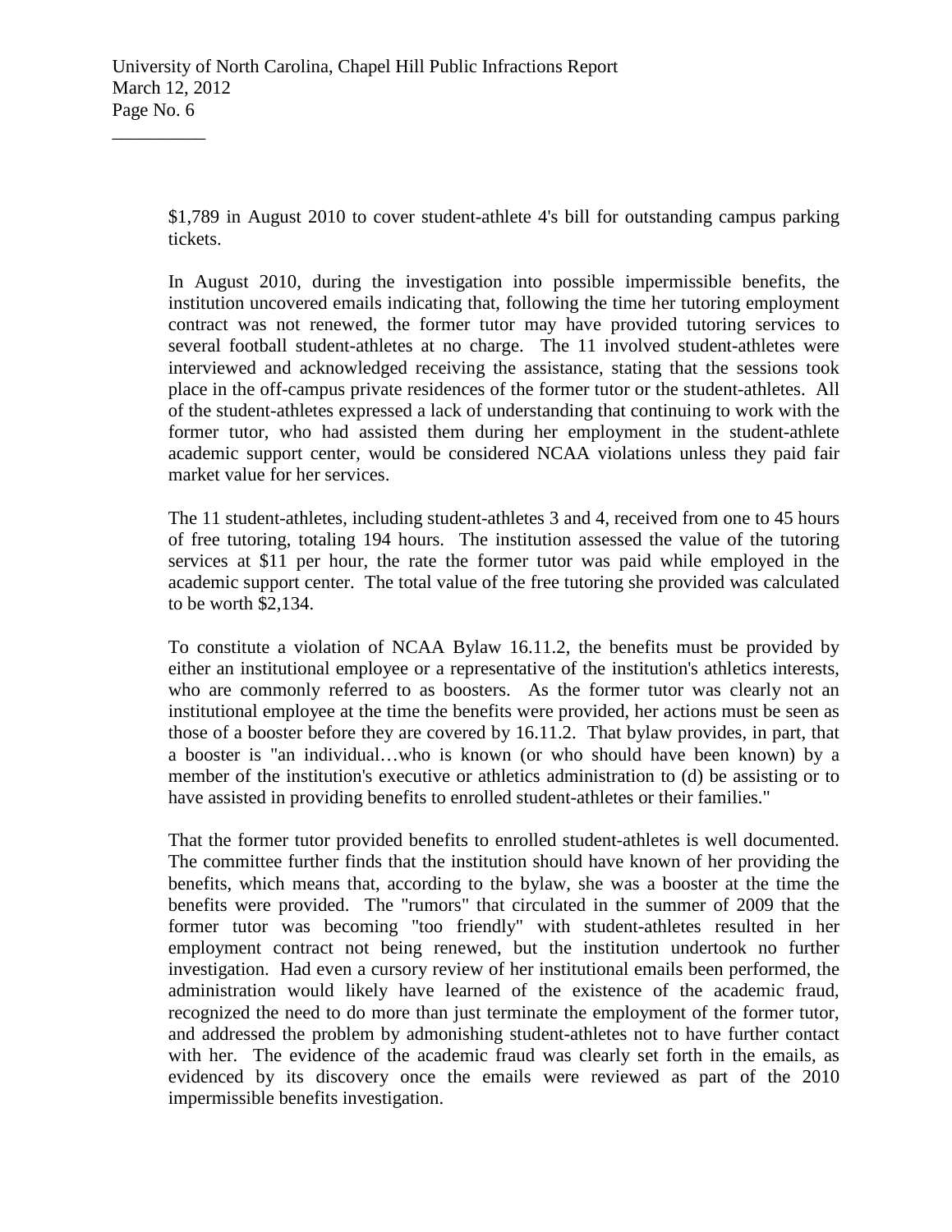\$1,789 in August 2010 to cover student-athlete 4's bill for outstanding campus parking tickets.

In August 2010, during the investigation into possible impermissible benefits, the institution uncovered emails indicating that, following the time her tutoring employment contract was not renewed, the former tutor may have provided tutoring services to several football student-athletes at no charge. The 11 involved student-athletes were interviewed and acknowledged receiving the assistance, stating that the sessions took place in the off-campus private residences of the former tutor or the student-athletes. All of the student-athletes expressed a lack of understanding that continuing to work with the former tutor, who had assisted them during her employment in the student-athlete academic support center, would be considered NCAA violations unless they paid fair market value for her services.

The 11 student-athletes, including student-athletes 3 and 4, received from one to 45 hours of free tutoring, totaling 194 hours. The institution assessed the value of the tutoring services at \$11 per hour, the rate the former tutor was paid while employed in the academic support center. The total value of the free tutoring she provided was calculated to be worth \$2,134.

To constitute a violation of NCAA Bylaw 16.11.2, the benefits must be provided by either an institutional employee or a representative of the institution's athletics interests, who are commonly referred to as boosters. As the former tutor was clearly not an institutional employee at the time the benefits were provided, her actions must be seen as those of a booster before they are covered by 16.11.2. That bylaw provides, in part, that a booster is "an individual…who is known (or who should have been known) by a member of the institution's executive or athletics administration to (d) be assisting or to have assisted in providing benefits to enrolled student-athletes or their families."

That the former tutor provided benefits to enrolled student-athletes is well documented. The committee further finds that the institution should have known of her providing the benefits, which means that, according to the bylaw, she was a booster at the time the benefits were provided. The "rumors" that circulated in the summer of 2009 that the former tutor was becoming "too friendly" with student-athletes resulted in her employment contract not being renewed, but the institution undertook no further investigation. Had even a cursory review of her institutional emails been performed, the administration would likely have learned of the existence of the academic fraud, recognized the need to do more than just terminate the employment of the former tutor, and addressed the problem by admonishing student-athletes not to have further contact with her. The evidence of the academic fraud was clearly set forth in the emails, as evidenced by its discovery once the emails were reviewed as part of the 2010 impermissible benefits investigation.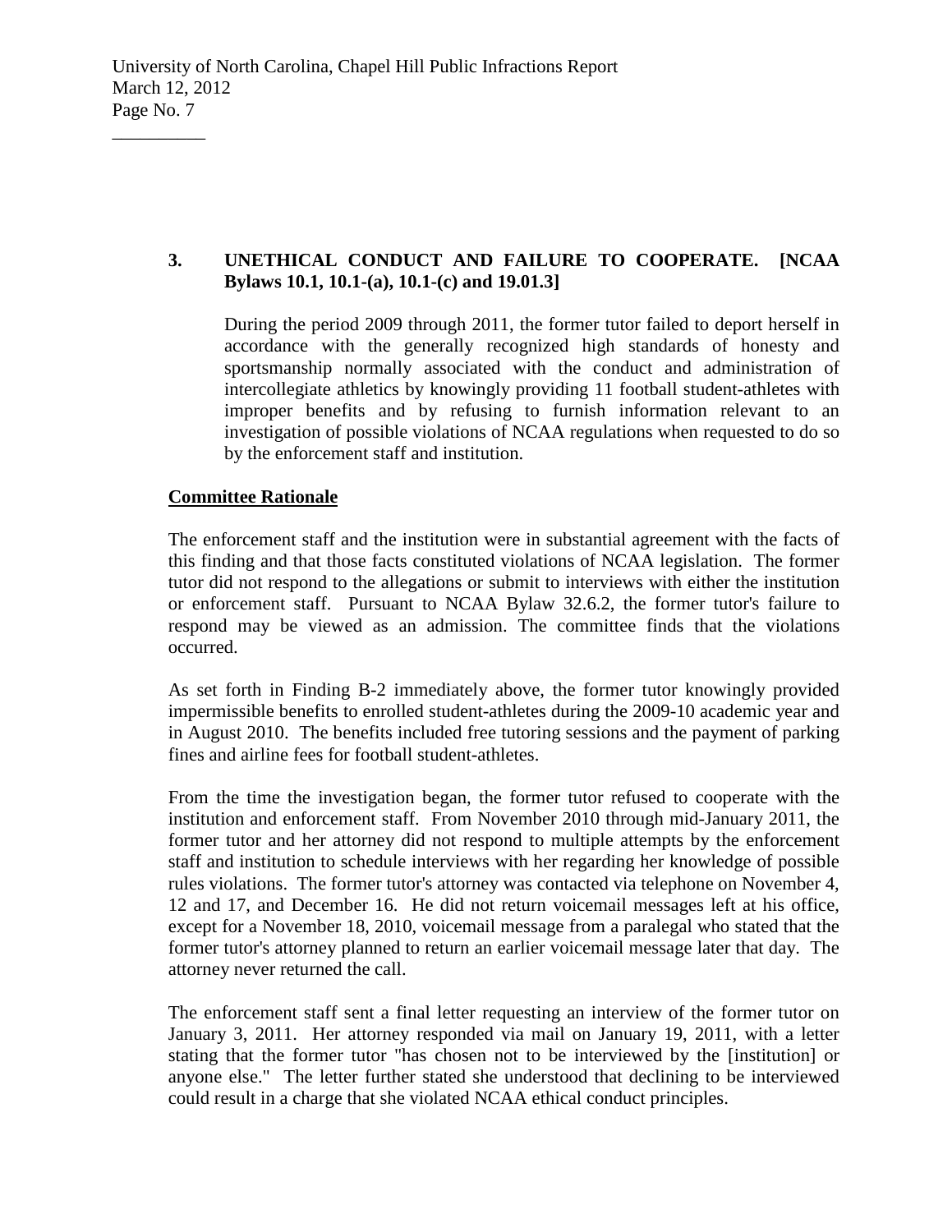## **3. UNETHICAL CONDUCT AND FAILURE TO COOPERATE. [NCAA Bylaws 10.1, 10.1-(a), 10.1-(c) and 19.01.3]**

During the period 2009 through 2011, the former tutor failed to deport herself in accordance with the generally recognized high standards of honesty and sportsmanship normally associated with the conduct and administration of intercollegiate athletics by knowingly providing 11 football student-athletes with improper benefits and by refusing to furnish information relevant to an investigation of possible violations of NCAA regulations when requested to do so by the enforcement staff and institution.

## **Committee Rationale**

 $\overline{\phantom{a}}$  , where  $\overline{\phantom{a}}$ 

The enforcement staff and the institution were in substantial agreement with the facts of this finding and that those facts constituted violations of NCAA legislation. The former tutor did not respond to the allegations or submit to interviews with either the institution or enforcement staff. Pursuant to NCAA Bylaw 32.6.2, the former tutor's failure to respond may be viewed as an admission. The committee finds that the violations occurred.

As set forth in Finding B-2 immediately above, the former tutor knowingly provided impermissible benefits to enrolled student-athletes during the 2009-10 academic year and in August 2010. The benefits included free tutoring sessions and the payment of parking fines and airline fees for football student-athletes.

From the time the investigation began, the former tutor refused to cooperate with the institution and enforcement staff. From November 2010 through mid-January 2011, the former tutor and her attorney did not respond to multiple attempts by the enforcement staff and institution to schedule interviews with her regarding her knowledge of possible rules violations. The former tutor's attorney was contacted via telephone on November 4, 12 and 17, and December 16. He did not return voicemail messages left at his office, except for a November 18, 2010, voicemail message from a paralegal who stated that the former tutor's attorney planned to return an earlier voicemail message later that day. The attorney never returned the call.

The enforcement staff sent a final letter requesting an interview of the former tutor on January 3, 2011. Her attorney responded via mail on January 19, 2011, with a letter stating that the former tutor "has chosen not to be interviewed by the [institution] or anyone else." The letter further stated she understood that declining to be interviewed could result in a charge that she violated NCAA ethical conduct principles.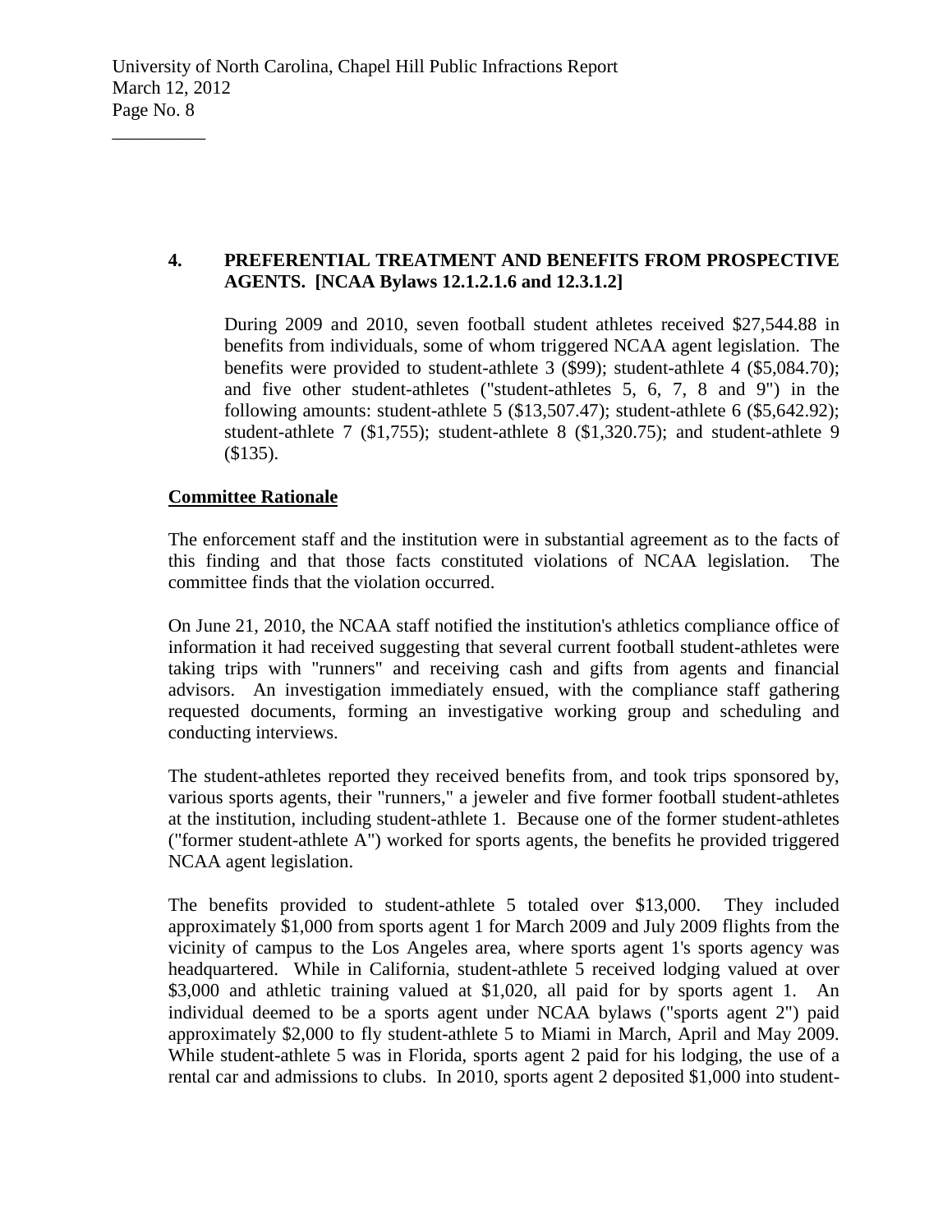## **4. PREFERENTIAL TREATMENT AND BENEFITS FROM PROSPECTIVE AGENTS. [NCAA Bylaws 12.1.2.1.6 and 12.3.1.2]**

During 2009 and 2010, seven football student athletes received \$27,544.88 in benefits from individuals, some of whom triggered NCAA agent legislation. The benefits were provided to student-athlete 3 (\$99); student-athlete 4 (\$5,084.70); and five other student-athletes ("student-athletes 5, 6, 7, 8 and 9") in the following amounts: student-athlete 5 (\$13,507.47); student-athlete 6 (\$5,642.92); student-athlete 7 (\$1,755); student-athlete 8 (\$1,320.75); and student-athlete 9 (\$135).

# **Committee Rationale**

 $\overline{\phantom{a}}$  , where  $\overline{\phantom{a}}$ 

The enforcement staff and the institution were in substantial agreement as to the facts of this finding and that those facts constituted violations of NCAA legislation. The committee finds that the violation occurred.

On June 21, 2010, the NCAA staff notified the institution's athletics compliance office of information it had received suggesting that several current football student-athletes were taking trips with "runners" and receiving cash and gifts from agents and financial advisors. An investigation immediately ensued, with the compliance staff gathering requested documents, forming an investigative working group and scheduling and conducting interviews.

The student-athletes reported they received benefits from, and took trips sponsored by, various sports agents, their "runners," a jeweler and five former football student-athletes at the institution, including student-athlete 1. Because one of the former student-athletes ("former student-athlete A") worked for sports agents, the benefits he provided triggered NCAA agent legislation.

The benefits provided to student-athlete 5 totaled over \$13,000. They included approximately \$1,000 from sports agent 1 for March 2009 and July 2009 flights from the vicinity of campus to the Los Angeles area, where sports agent 1's sports agency was headquartered. While in California, student-athlete 5 received lodging valued at over \$3,000 and athletic training valued at \$1,020, all paid for by sports agent 1. An individual deemed to be a sports agent under NCAA bylaws ("sports agent 2") paid approximately \$2,000 to fly student-athlete 5 to Miami in March, April and May 2009. While student-athlete 5 was in Florida, sports agent 2 paid for his lodging, the use of a rental car and admissions to clubs. In 2010, sports agent 2 deposited \$1,000 into student-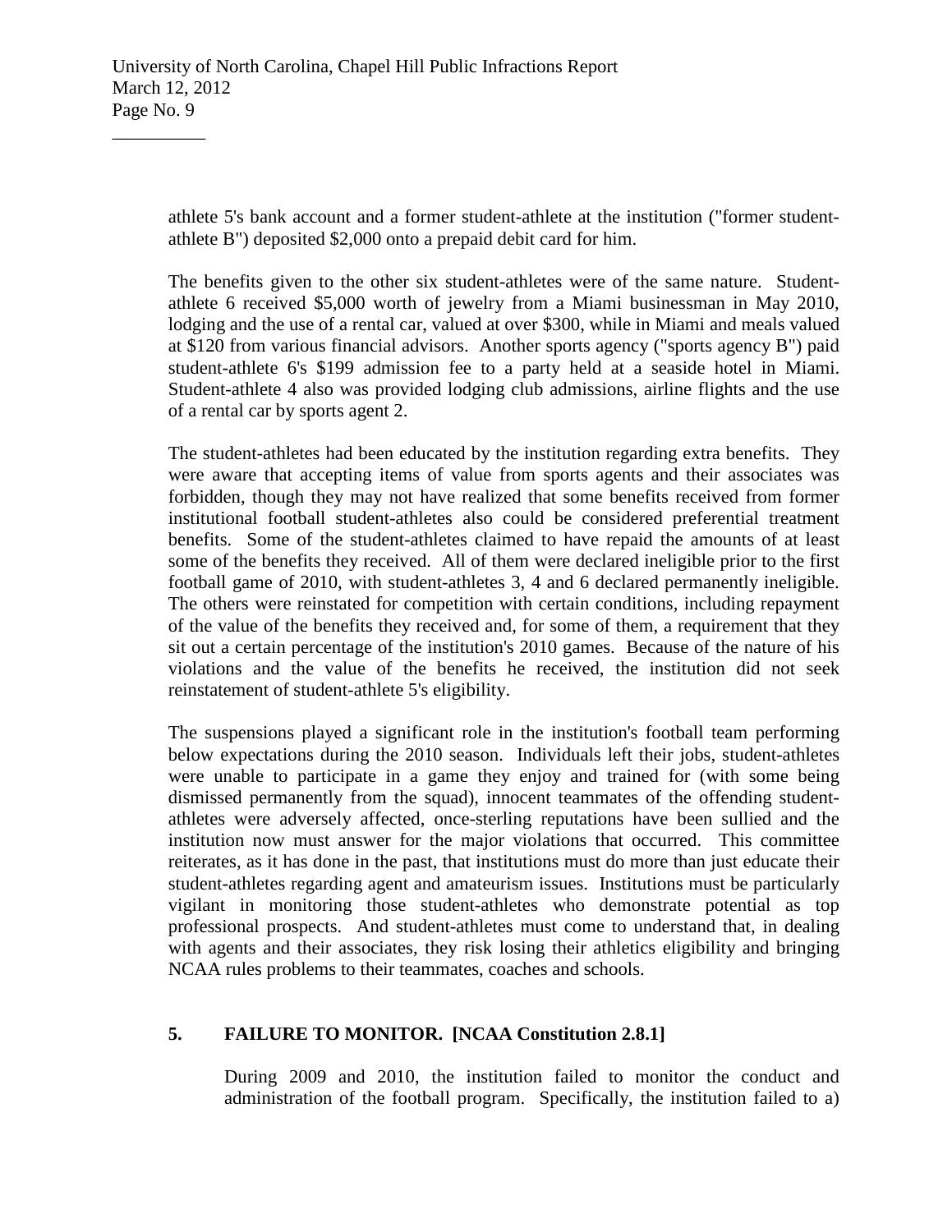athlete 5's bank account and a former student-athlete at the institution ("former studentathlete B") deposited \$2,000 onto a prepaid debit card for him.

The benefits given to the other six student-athletes were of the same nature. Studentathlete 6 received \$5,000 worth of jewelry from a Miami businessman in May 2010, lodging and the use of a rental car, valued at over \$300, while in Miami and meals valued at \$120 from various financial advisors. Another sports agency ("sports agency B") paid student-athlete 6's \$199 admission fee to a party held at a seaside hotel in Miami. Student-athlete 4 also was provided lodging club admissions, airline flights and the use of a rental car by sports agent 2.

The student-athletes had been educated by the institution regarding extra benefits. They were aware that accepting items of value from sports agents and their associates was forbidden, though they may not have realized that some benefits received from former institutional football student-athletes also could be considered preferential treatment benefits. Some of the student-athletes claimed to have repaid the amounts of at least some of the benefits they received. All of them were declared ineligible prior to the first football game of 2010, with student-athletes 3, 4 and 6 declared permanently ineligible. The others were reinstated for competition with certain conditions, including repayment of the value of the benefits they received and, for some of them, a requirement that they sit out a certain percentage of the institution's 2010 games. Because of the nature of his violations and the value of the benefits he received, the institution did not seek reinstatement of student-athlete 5's eligibility.

The suspensions played a significant role in the institution's football team performing below expectations during the 2010 season. Individuals left their jobs, student-athletes were unable to participate in a game they enjoy and trained for (with some being dismissed permanently from the squad), innocent teammates of the offending studentathletes were adversely affected, once-sterling reputations have been sullied and the institution now must answer for the major violations that occurred. This committee reiterates, as it has done in the past, that institutions must do more than just educate their student-athletes regarding agent and amateurism issues. Institutions must be particularly vigilant in monitoring those student-athletes who demonstrate potential as top professional prospects. And student-athletes must come to understand that, in dealing with agents and their associates, they risk losing their athletics eligibility and bringing NCAA rules problems to their teammates, coaches and schools.

# **5. FAILURE TO MONITOR. [NCAA Constitution 2.8.1]**

During 2009 and 2010, the institution failed to monitor the conduct and administration of the football program. Specifically, the institution failed to a)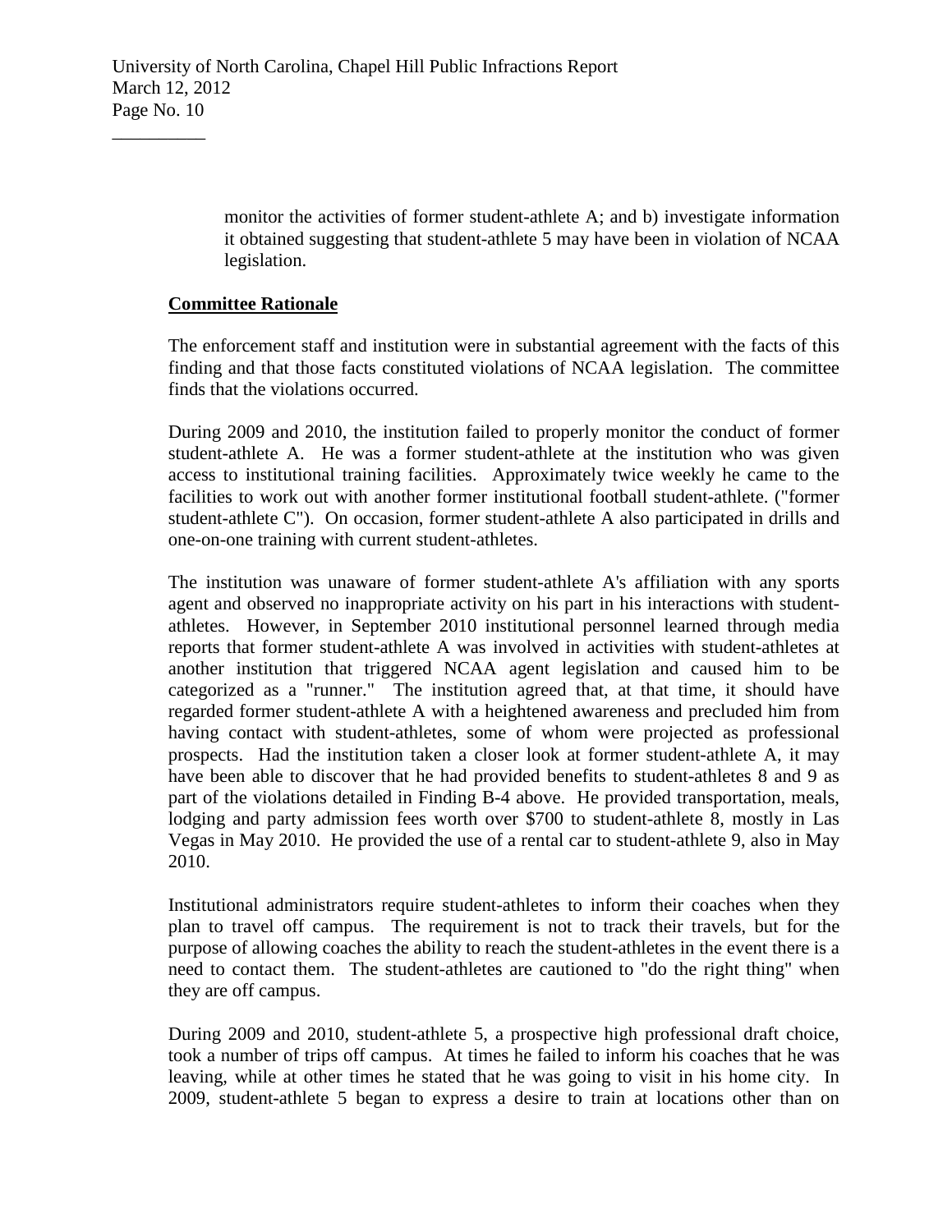monitor the activities of former student-athlete A; and b) investigate information it obtained suggesting that student-athlete 5 may have been in violation of NCAA legislation.

### **Committee Rationale**

 $\overline{\phantom{a}}$  , where  $\overline{\phantom{a}}$ 

The enforcement staff and institution were in substantial agreement with the facts of this finding and that those facts constituted violations of NCAA legislation. The committee finds that the violations occurred.

During 2009 and 2010, the institution failed to properly monitor the conduct of former student-athlete A. He was a former student-athlete at the institution who was given access to institutional training facilities. Approximately twice weekly he came to the facilities to work out with another former institutional football student-athlete. ("former student-athlete C"). On occasion, former student-athlete A also participated in drills and one-on-one training with current student-athletes.

The institution was unaware of former student-athlete A's affiliation with any sports agent and observed no inappropriate activity on his part in his interactions with studentathletes. However, in September 2010 institutional personnel learned through media reports that former student-athlete A was involved in activities with student-athletes at another institution that triggered NCAA agent legislation and caused him to be categorized as a "runner." The institution agreed that, at that time, it should have regarded former student-athlete A with a heightened awareness and precluded him from having contact with student-athletes, some of whom were projected as professional prospects. Had the institution taken a closer look at former student-athlete A, it may have been able to discover that he had provided benefits to student-athletes 8 and 9 as part of the violations detailed in Finding B-4 above. He provided transportation, meals, lodging and party admission fees worth over \$700 to student-athlete 8, mostly in Las Vegas in May 2010. He provided the use of a rental car to student-athlete 9, also in May 2010.

Institutional administrators require student-athletes to inform their coaches when they plan to travel off campus. The requirement is not to track their travels, but for the purpose of allowing coaches the ability to reach the student-athletes in the event there is a need to contact them. The student-athletes are cautioned to "do the right thing" when they are off campus.

During 2009 and 2010, student-athlete 5, a prospective high professional draft choice, took a number of trips off campus. At times he failed to inform his coaches that he was leaving, while at other times he stated that he was going to visit in his home city. In 2009, student-athlete 5 began to express a desire to train at locations other than on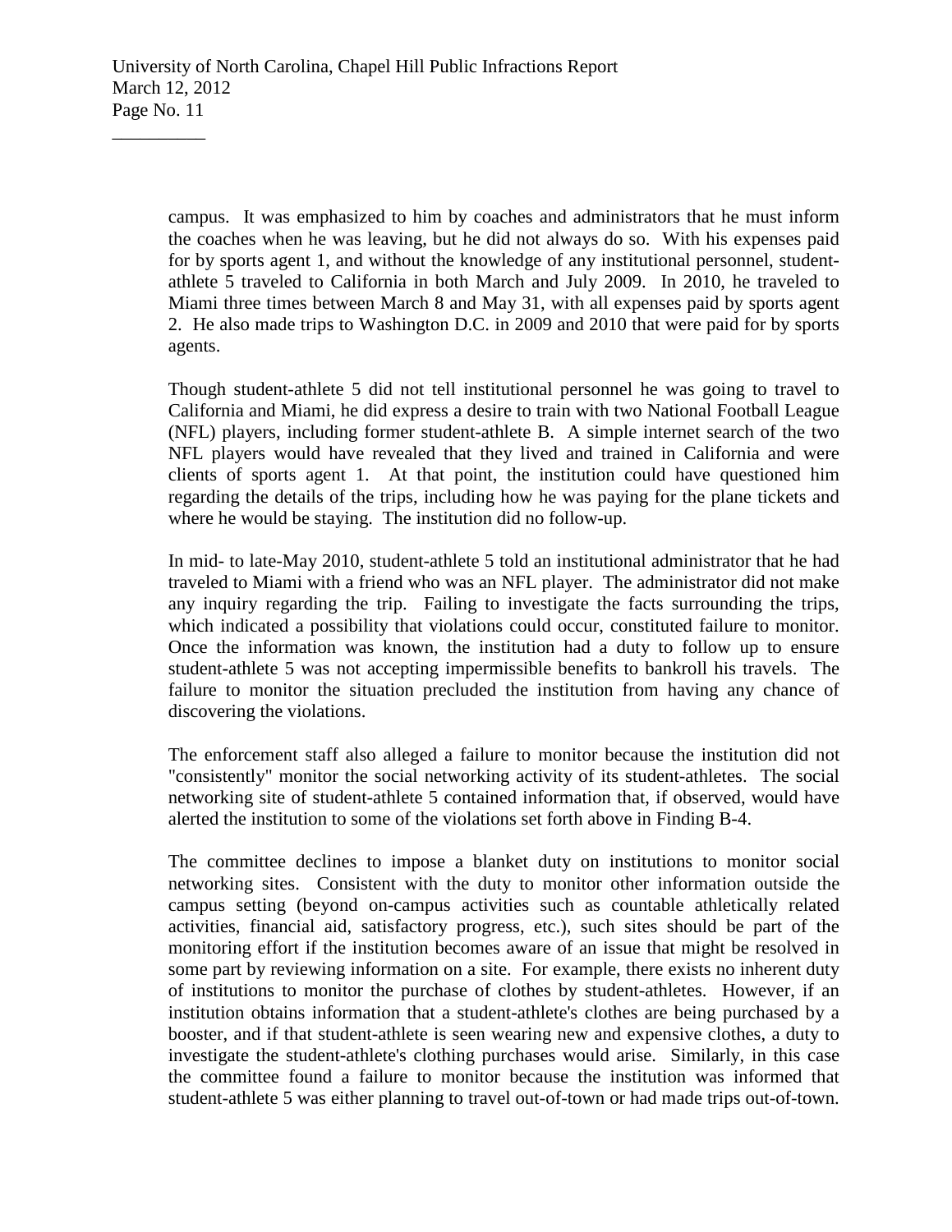campus. It was emphasized to him by coaches and administrators that he must inform the coaches when he was leaving, but he did not always do so. With his expenses paid for by sports agent 1, and without the knowledge of any institutional personnel, studentathlete 5 traveled to California in both March and July 2009. In 2010, he traveled to Miami three times between March 8 and May 31, with all expenses paid by sports agent 2. He also made trips to Washington D.C. in 2009 and 2010 that were paid for by sports agents.

Though student-athlete 5 did not tell institutional personnel he was going to travel to California and Miami, he did express a desire to train with two National Football League (NFL) players, including former student-athlete B. A simple internet search of the two NFL players would have revealed that they lived and trained in California and were clients of sports agent 1. At that point, the institution could have questioned him regarding the details of the trips, including how he was paying for the plane tickets and where he would be staying. The institution did no follow-up.

In mid- to late-May 2010, student-athlete 5 told an institutional administrator that he had traveled to Miami with a friend who was an NFL player. The administrator did not make any inquiry regarding the trip. Failing to investigate the facts surrounding the trips, which indicated a possibility that violations could occur, constituted failure to monitor. Once the information was known, the institution had a duty to follow up to ensure student-athlete 5 was not accepting impermissible benefits to bankroll his travels. The failure to monitor the situation precluded the institution from having any chance of discovering the violations.

The enforcement staff also alleged a failure to monitor because the institution did not "consistently" monitor the social networking activity of its student-athletes. The social networking site of student-athlete 5 contained information that, if observed, would have alerted the institution to some of the violations set forth above in Finding B-4.

The committee declines to impose a blanket duty on institutions to monitor social networking sites. Consistent with the duty to monitor other information outside the campus setting (beyond on-campus activities such as countable athletically related activities, financial aid, satisfactory progress, etc.), such sites should be part of the monitoring effort if the institution becomes aware of an issue that might be resolved in some part by reviewing information on a site. For example, there exists no inherent duty of institutions to monitor the purchase of clothes by student-athletes. However, if an institution obtains information that a student-athlete's clothes are being purchased by a booster, and if that student-athlete is seen wearing new and expensive clothes, a duty to investigate the student-athlete's clothing purchases would arise. Similarly, in this case the committee found a failure to monitor because the institution was informed that student-athlete 5 was either planning to travel out-of-town or had made trips out-of-town.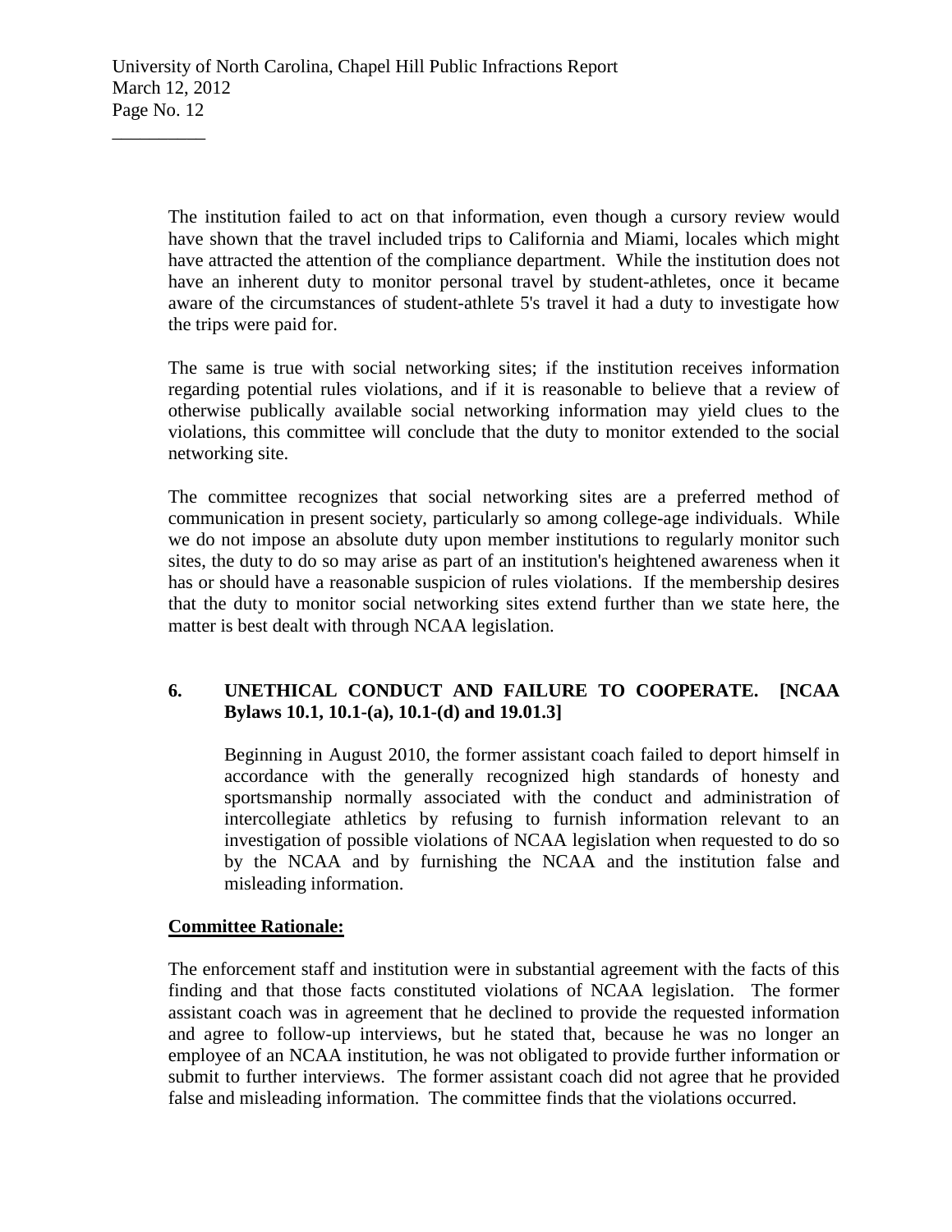The institution failed to act on that information, even though a cursory review would have shown that the travel included trips to California and Miami, locales which might have attracted the attention of the compliance department. While the institution does not have an inherent duty to monitor personal travel by student-athletes, once it became aware of the circumstances of student-athlete 5's travel it had a duty to investigate how the trips were paid for.

The same is true with social networking sites; if the institution receives information regarding potential rules violations, and if it is reasonable to believe that a review of otherwise publically available social networking information may yield clues to the violations, this committee will conclude that the duty to monitor extended to the social networking site.

The committee recognizes that social networking sites are a preferred method of communication in present society, particularly so among college-age individuals. While we do not impose an absolute duty upon member institutions to regularly monitor such sites, the duty to do so may arise as part of an institution's heightened awareness when it has or should have a reasonable suspicion of rules violations. If the membership desires that the duty to monitor social networking sites extend further than we state here, the matter is best dealt with through NCAA legislation.

# **6. UNETHICAL CONDUCT AND FAILURE TO COOPERATE. [NCAA Bylaws 10.1, 10.1-(a), 10.1-(d) and 19.01.3]**

Beginning in August 2010, the former assistant coach failed to deport himself in accordance with the generally recognized high standards of honesty and sportsmanship normally associated with the conduct and administration of intercollegiate athletics by refusing to furnish information relevant to an investigation of possible violations of NCAA legislation when requested to do so by the NCAA and by furnishing the NCAA and the institution false and misleading information.

## **Committee Rationale:**

The enforcement staff and institution were in substantial agreement with the facts of this finding and that those facts constituted violations of NCAA legislation. The former assistant coach was in agreement that he declined to provide the requested information and agree to follow-up interviews, but he stated that, because he was no longer an employee of an NCAA institution, he was not obligated to provide further information or submit to further interviews. The former assistant coach did not agree that he provided false and misleading information. The committee finds that the violations occurred.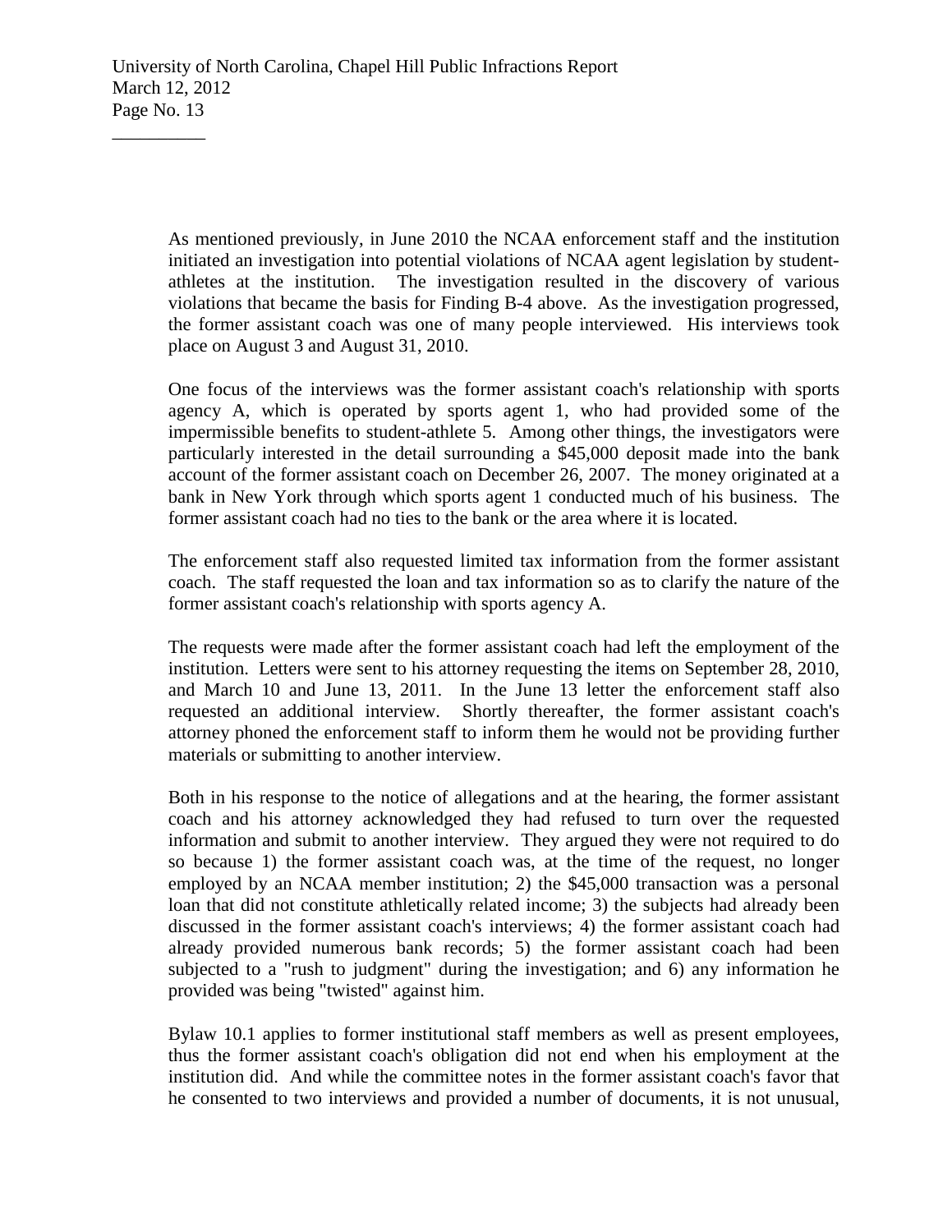As mentioned previously, in June 2010 the NCAA enforcement staff and the institution initiated an investigation into potential violations of NCAA agent legislation by studentathletes at the institution. The investigation resulted in the discovery of various violations that became the basis for Finding B-4 above. As the investigation progressed, the former assistant coach was one of many people interviewed. His interviews took place on August 3 and August 31, 2010.

One focus of the interviews was the former assistant coach's relationship with sports agency A, which is operated by sports agent 1, who had provided some of the impermissible benefits to student-athlete 5. Among other things, the investigators were particularly interested in the detail surrounding a \$45,000 deposit made into the bank account of the former assistant coach on December 26, 2007. The money originated at a bank in New York through which sports agent 1 conducted much of his business. The former assistant coach had no ties to the bank or the area where it is located.

The enforcement staff also requested limited tax information from the former assistant coach. The staff requested the loan and tax information so as to clarify the nature of the former assistant coach's relationship with sports agency A.

The requests were made after the former assistant coach had left the employment of the institution. Letters were sent to his attorney requesting the items on September 28, 2010, and March 10 and June 13, 2011. In the June 13 letter the enforcement staff also requested an additional interview. Shortly thereafter, the former assistant coach's attorney phoned the enforcement staff to inform them he would not be providing further materials or submitting to another interview.

Both in his response to the notice of allegations and at the hearing, the former assistant coach and his attorney acknowledged they had refused to turn over the requested information and submit to another interview. They argued they were not required to do so because 1) the former assistant coach was, at the time of the request, no longer employed by an NCAA member institution; 2) the \$45,000 transaction was a personal loan that did not constitute athletically related income; 3) the subjects had already been discussed in the former assistant coach's interviews; 4) the former assistant coach had already provided numerous bank records; 5) the former assistant coach had been subjected to a "rush to judgment" during the investigation; and 6) any information he provided was being "twisted" against him.

Bylaw 10.1 applies to former institutional staff members as well as present employees, thus the former assistant coach's obligation did not end when his employment at the institution did. And while the committee notes in the former assistant coach's favor that he consented to two interviews and provided a number of documents, it is not unusual,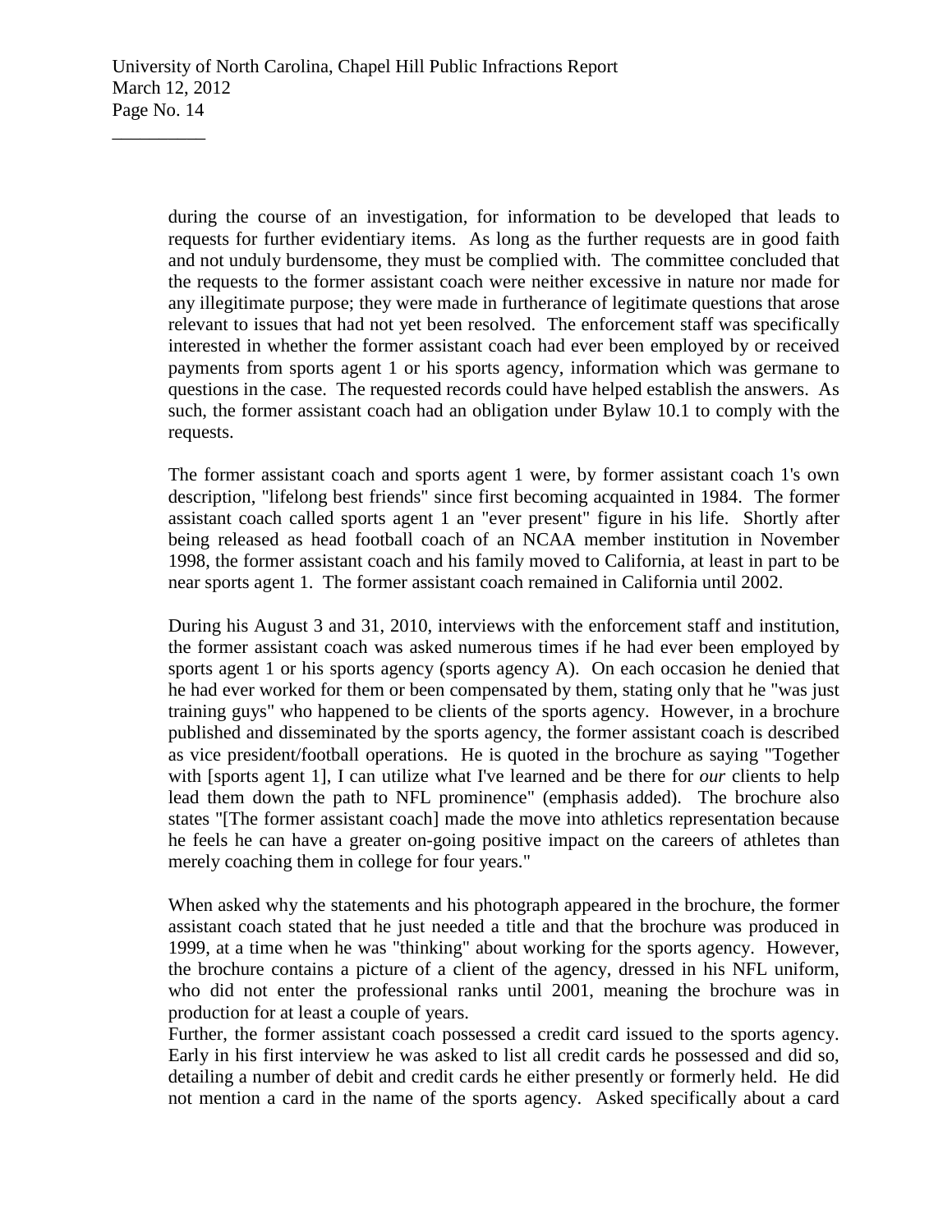during the course of an investigation, for information to be developed that leads to requests for further evidentiary items. As long as the further requests are in good faith and not unduly burdensome, they must be complied with. The committee concluded that the requests to the former assistant coach were neither excessive in nature nor made for any illegitimate purpose; they were made in furtherance of legitimate questions that arose relevant to issues that had not yet been resolved. The enforcement staff was specifically interested in whether the former assistant coach had ever been employed by or received payments from sports agent 1 or his sports agency, information which was germane to questions in the case. The requested records could have helped establish the answers. As such, the former assistant coach had an obligation under Bylaw 10.1 to comply with the requests.

The former assistant coach and sports agent 1 were, by former assistant coach 1's own description, "lifelong best friends" since first becoming acquainted in 1984. The former assistant coach called sports agent 1 an "ever present" figure in his life. Shortly after being released as head football coach of an NCAA member institution in November 1998, the former assistant coach and his family moved to California, at least in part to be near sports agent 1. The former assistant coach remained in California until 2002.

During his August 3 and 31, 2010, interviews with the enforcement staff and institution, the former assistant coach was asked numerous times if he had ever been employed by sports agent 1 or his sports agency (sports agency A). On each occasion he denied that he had ever worked for them or been compensated by them, stating only that he "was just training guys" who happened to be clients of the sports agency. However, in a brochure published and disseminated by the sports agency, the former assistant coach is described as vice president/football operations. He is quoted in the brochure as saying "Together with [sports agent 1], I can utilize what I've learned and be there for *our* clients to help lead them down the path to NFL prominence" (emphasis added). The brochure also states "[The former assistant coach] made the move into athletics representation because he feels he can have a greater on-going positive impact on the careers of athletes than merely coaching them in college for four years."

When asked why the statements and his photograph appeared in the brochure, the former assistant coach stated that he just needed a title and that the brochure was produced in 1999, at a time when he was "thinking" about working for the sports agency. However, the brochure contains a picture of a client of the agency, dressed in his NFL uniform, who did not enter the professional ranks until 2001, meaning the brochure was in production for at least a couple of years.

Further, the former assistant coach possessed a credit card issued to the sports agency. Early in his first interview he was asked to list all credit cards he possessed and did so, detailing a number of debit and credit cards he either presently or formerly held. He did not mention a card in the name of the sports agency. Asked specifically about a card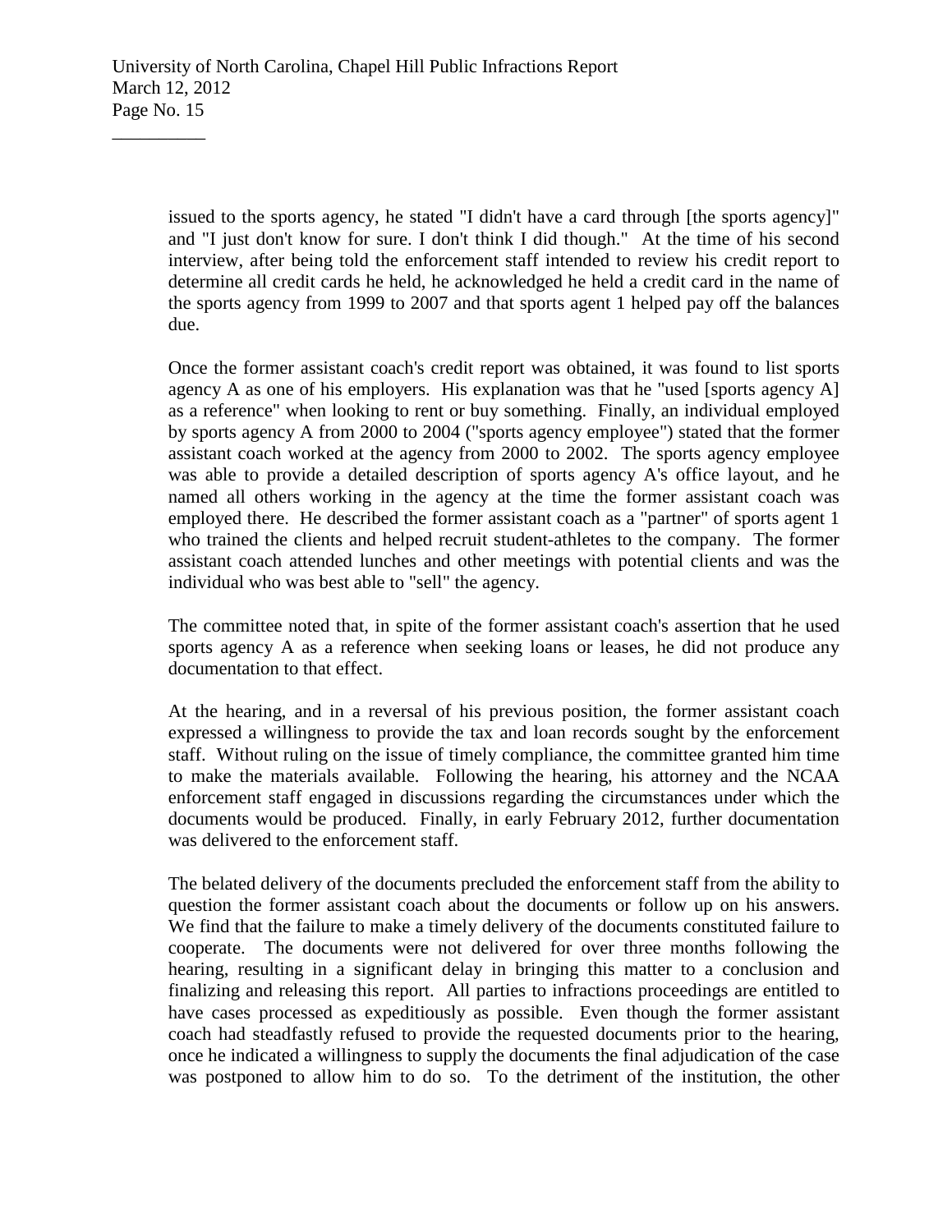issued to the sports agency, he stated "I didn't have a card through [the sports agency]" and "I just don't know for sure. I don't think I did though." At the time of his second interview, after being told the enforcement staff intended to review his credit report to determine all credit cards he held, he acknowledged he held a credit card in the name of the sports agency from 1999 to 2007 and that sports agent 1 helped pay off the balances due.

Once the former assistant coach's credit report was obtained, it was found to list sports agency A as one of his employers. His explanation was that he "used [sports agency A] as a reference" when looking to rent or buy something. Finally, an individual employed by sports agency A from 2000 to 2004 ("sports agency employee") stated that the former assistant coach worked at the agency from 2000 to 2002. The sports agency employee was able to provide a detailed description of sports agency A's office layout, and he named all others working in the agency at the time the former assistant coach was employed there. He described the former assistant coach as a "partner" of sports agent 1 who trained the clients and helped recruit student-athletes to the company. The former assistant coach attended lunches and other meetings with potential clients and was the individual who was best able to "sell" the agency.

The committee noted that, in spite of the former assistant coach's assertion that he used sports agency A as a reference when seeking loans or leases, he did not produce any documentation to that effect.

At the hearing, and in a reversal of his previous position, the former assistant coach expressed a willingness to provide the tax and loan records sought by the enforcement staff. Without ruling on the issue of timely compliance, the committee granted him time to make the materials available. Following the hearing, his attorney and the NCAA enforcement staff engaged in discussions regarding the circumstances under which the documents would be produced. Finally, in early February 2012, further documentation was delivered to the enforcement staff.

The belated delivery of the documents precluded the enforcement staff from the ability to question the former assistant coach about the documents or follow up on his answers. We find that the failure to make a timely delivery of the documents constituted failure to cooperate. The documents were not delivered for over three months following the hearing, resulting in a significant delay in bringing this matter to a conclusion and finalizing and releasing this report. All parties to infractions proceedings are entitled to have cases processed as expeditiously as possible. Even though the former assistant coach had steadfastly refused to provide the requested documents prior to the hearing, once he indicated a willingness to supply the documents the final adjudication of the case was postponed to allow him to do so. To the detriment of the institution, the other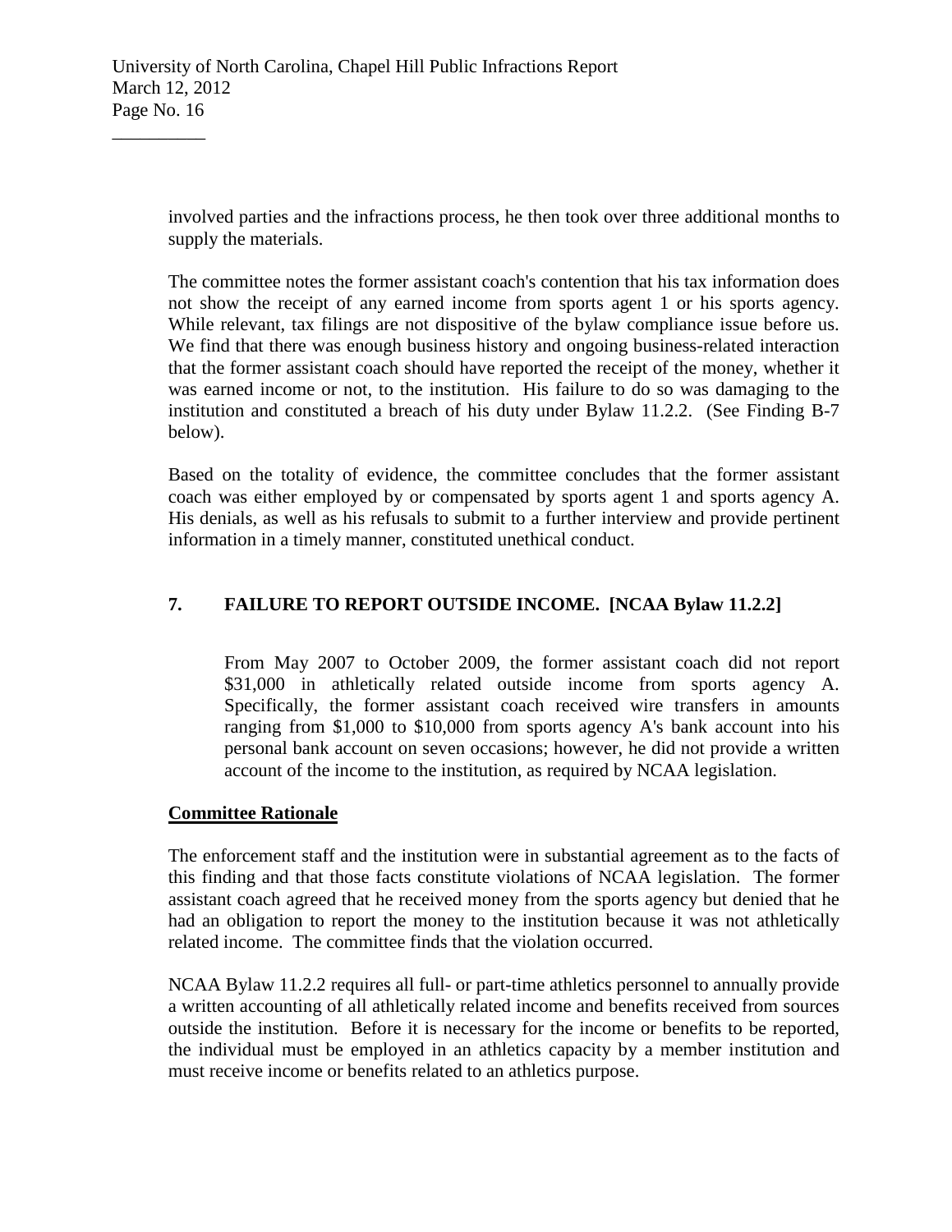involved parties and the infractions process, he then took over three additional months to supply the materials.

The committee notes the former assistant coach's contention that his tax information does not show the receipt of any earned income from sports agent 1 or his sports agency. While relevant, tax filings are not dispositive of the bylaw compliance issue before us. We find that there was enough business history and ongoing business-related interaction that the former assistant coach should have reported the receipt of the money, whether it was earned income or not, to the institution. His failure to do so was damaging to the institution and constituted a breach of his duty under Bylaw 11.2.2. (See Finding B-7 below).

Based on the totality of evidence, the committee concludes that the former assistant coach was either employed by or compensated by sports agent 1 and sports agency A. His denials, as well as his refusals to submit to a further interview and provide pertinent information in a timely manner, constituted unethical conduct.

# **7. FAILURE TO REPORT OUTSIDE INCOME. [NCAA Bylaw 11.2.2]**

From May 2007 to October 2009, the former assistant coach did not report \$31,000 in athletically related outside income from sports agency A. Specifically, the former assistant coach received wire transfers in amounts ranging from \$1,000 to \$10,000 from sports agency A's bank account into his personal bank account on seven occasions; however, he did not provide a written account of the income to the institution, as required by NCAA legislation.

## **Committee Rationale**

The enforcement staff and the institution were in substantial agreement as to the facts of this finding and that those facts constitute violations of NCAA legislation. The former assistant coach agreed that he received money from the sports agency but denied that he had an obligation to report the money to the institution because it was not athletically related income. The committee finds that the violation occurred.

NCAA Bylaw 11.2.2 requires all full- or part-time athletics personnel to annually provide a written accounting of all athletically related income and benefits received from sources outside the institution. Before it is necessary for the income or benefits to be reported, the individual must be employed in an athletics capacity by a member institution and must receive income or benefits related to an athletics purpose.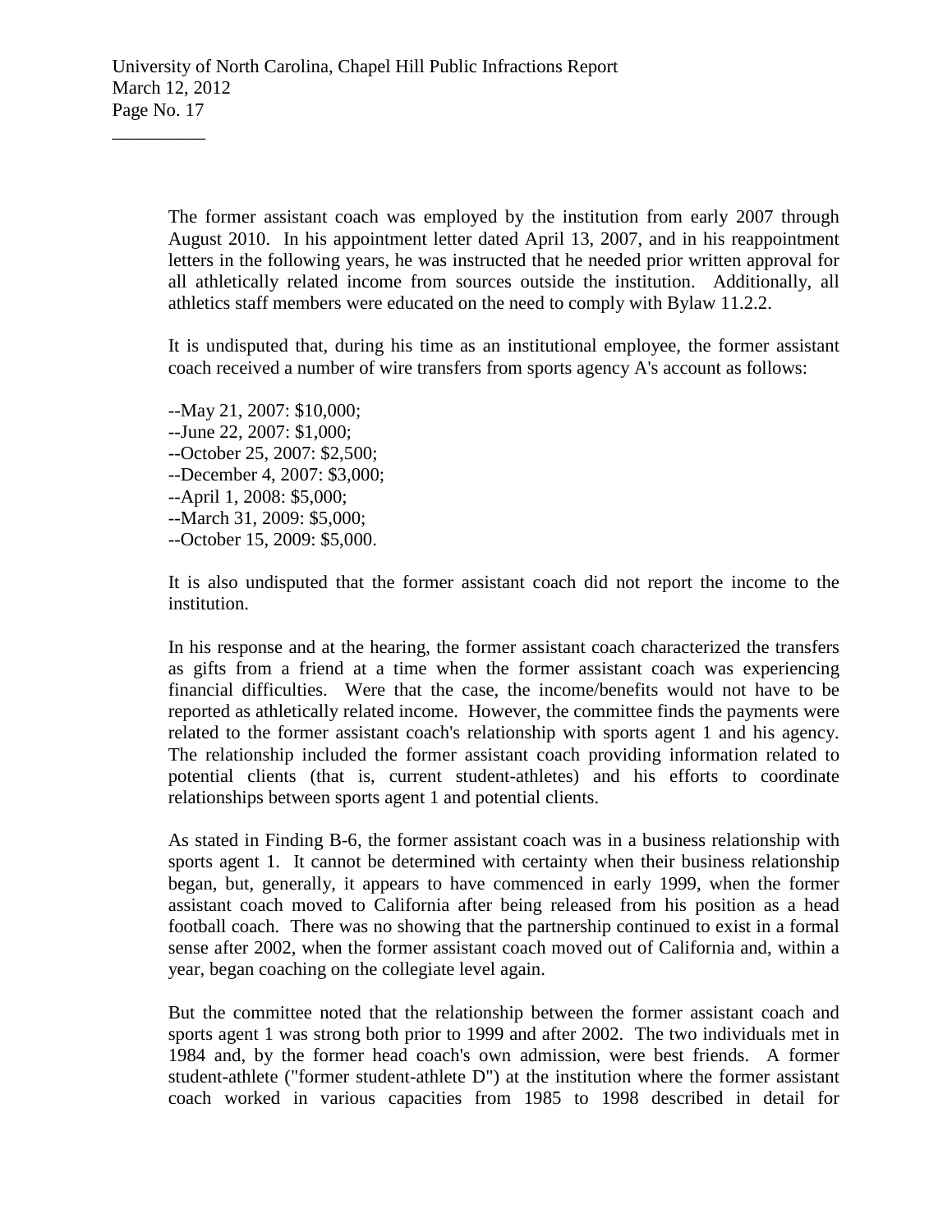The former assistant coach was employed by the institution from early 2007 through August 2010. In his appointment letter dated April 13, 2007, and in his reappointment letters in the following years, he was instructed that he needed prior written approval for all athletically related income from sources outside the institution. Additionally, all athletics staff members were educated on the need to comply with Bylaw 11.2.2.

It is undisputed that, during his time as an institutional employee, the former assistant coach received a number of wire transfers from sports agency A's account as follows:

--May 21, 2007: \$10,000; --June 22, 2007: \$1,000; --October 25, 2007: \$2,500; --December 4, 2007: \$3,000; --April 1, 2008: \$5,000; --March 31, 2009: \$5,000; --October 15, 2009: \$5,000.

 $\overline{\phantom{a}}$  , where  $\overline{\phantom{a}}$ 

It is also undisputed that the former assistant coach did not report the income to the institution.

In his response and at the hearing, the former assistant coach characterized the transfers as gifts from a friend at a time when the former assistant coach was experiencing financial difficulties. Were that the case, the income/benefits would not have to be reported as athletically related income. However, the committee finds the payments were related to the former assistant coach's relationship with sports agent 1 and his agency. The relationship included the former assistant coach providing information related to potential clients (that is, current student-athletes) and his efforts to coordinate relationships between sports agent 1 and potential clients.

As stated in Finding B-6, the former assistant coach was in a business relationship with sports agent 1. It cannot be determined with certainty when their business relationship began, but, generally, it appears to have commenced in early 1999, when the former assistant coach moved to California after being released from his position as a head football coach. There was no showing that the partnership continued to exist in a formal sense after 2002, when the former assistant coach moved out of California and, within a year, began coaching on the collegiate level again.

But the committee noted that the relationship between the former assistant coach and sports agent 1 was strong both prior to 1999 and after 2002. The two individuals met in 1984 and, by the former head coach's own admission, were best friends. A former student-athlete ("former student-athlete D") at the institution where the former assistant coach worked in various capacities from 1985 to 1998 described in detail for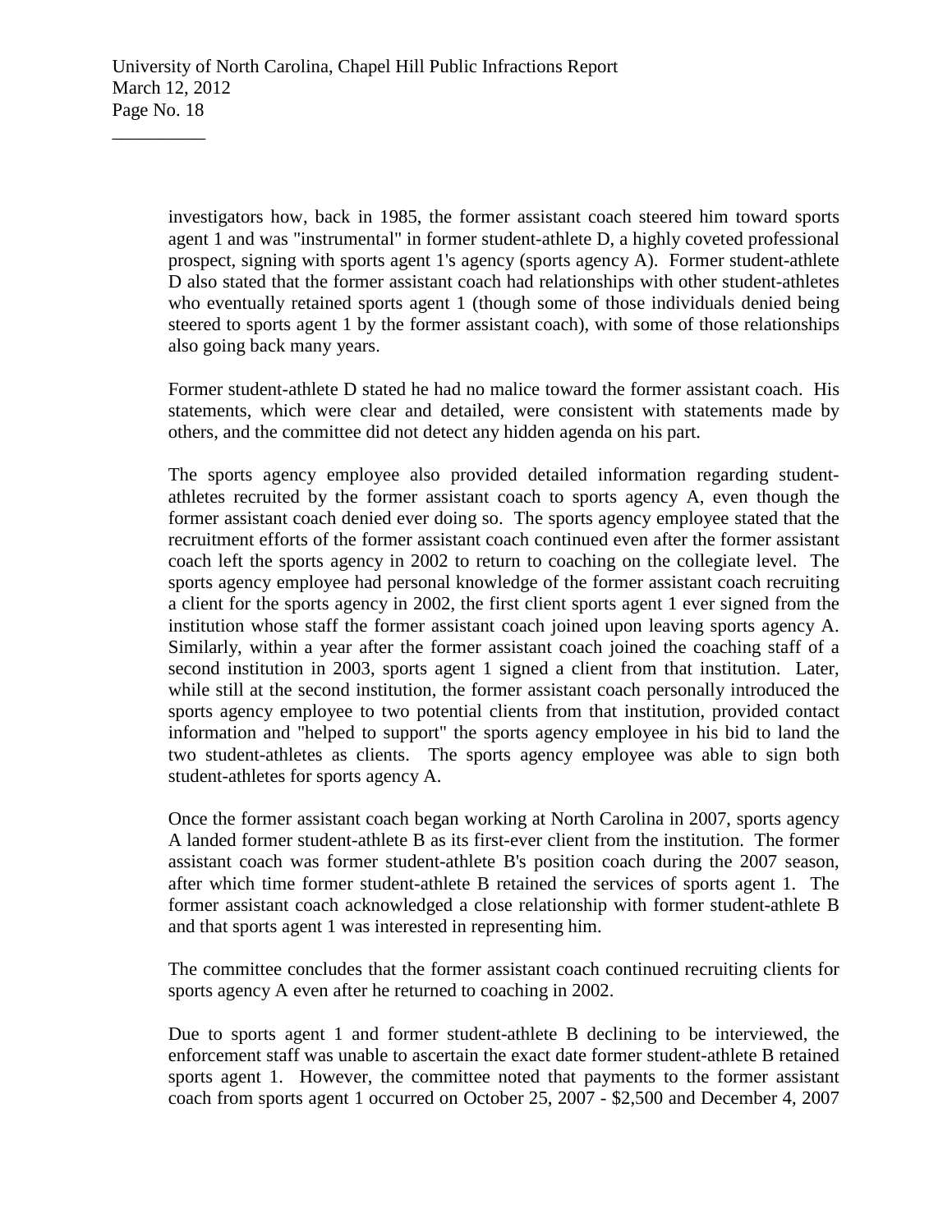investigators how, back in 1985, the former assistant coach steered him toward sports agent 1 and was "instrumental" in former student-athlete D, a highly coveted professional prospect, signing with sports agent 1's agency (sports agency A). Former student-athlete D also stated that the former assistant coach had relationships with other student-athletes who eventually retained sports agent 1 (though some of those individuals denied being steered to sports agent 1 by the former assistant coach), with some of those relationships also going back many years.

Former student-athlete D stated he had no malice toward the former assistant coach. His statements, which were clear and detailed, were consistent with statements made by others, and the committee did not detect any hidden agenda on his part.

The sports agency employee also provided detailed information regarding studentathletes recruited by the former assistant coach to sports agency A, even though the former assistant coach denied ever doing so. The sports agency employee stated that the recruitment efforts of the former assistant coach continued even after the former assistant coach left the sports agency in 2002 to return to coaching on the collegiate level. The sports agency employee had personal knowledge of the former assistant coach recruiting a client for the sports agency in 2002, the first client sports agent 1 ever signed from the institution whose staff the former assistant coach joined upon leaving sports agency A. Similarly, within a year after the former assistant coach joined the coaching staff of a second institution in 2003, sports agent 1 signed a client from that institution. Later, while still at the second institution, the former assistant coach personally introduced the sports agency employee to two potential clients from that institution, provided contact information and "helped to support" the sports agency employee in his bid to land the two student-athletes as clients. The sports agency employee was able to sign both student-athletes for sports agency A.

Once the former assistant coach began working at North Carolina in 2007, sports agency A landed former student-athlete B as its first-ever client from the institution. The former assistant coach was former student-athlete B's position coach during the 2007 season, after which time former student-athlete B retained the services of sports agent 1. The former assistant coach acknowledged a close relationship with former student-athlete B and that sports agent 1 was interested in representing him.

The committee concludes that the former assistant coach continued recruiting clients for sports agency A even after he returned to coaching in 2002.

Due to sports agent 1 and former student-athlete B declining to be interviewed, the enforcement staff was unable to ascertain the exact date former student-athlete B retained sports agent 1. However, the committee noted that payments to the former assistant coach from sports agent 1 occurred on October 25, 2007 - \$2,500 and December 4, 2007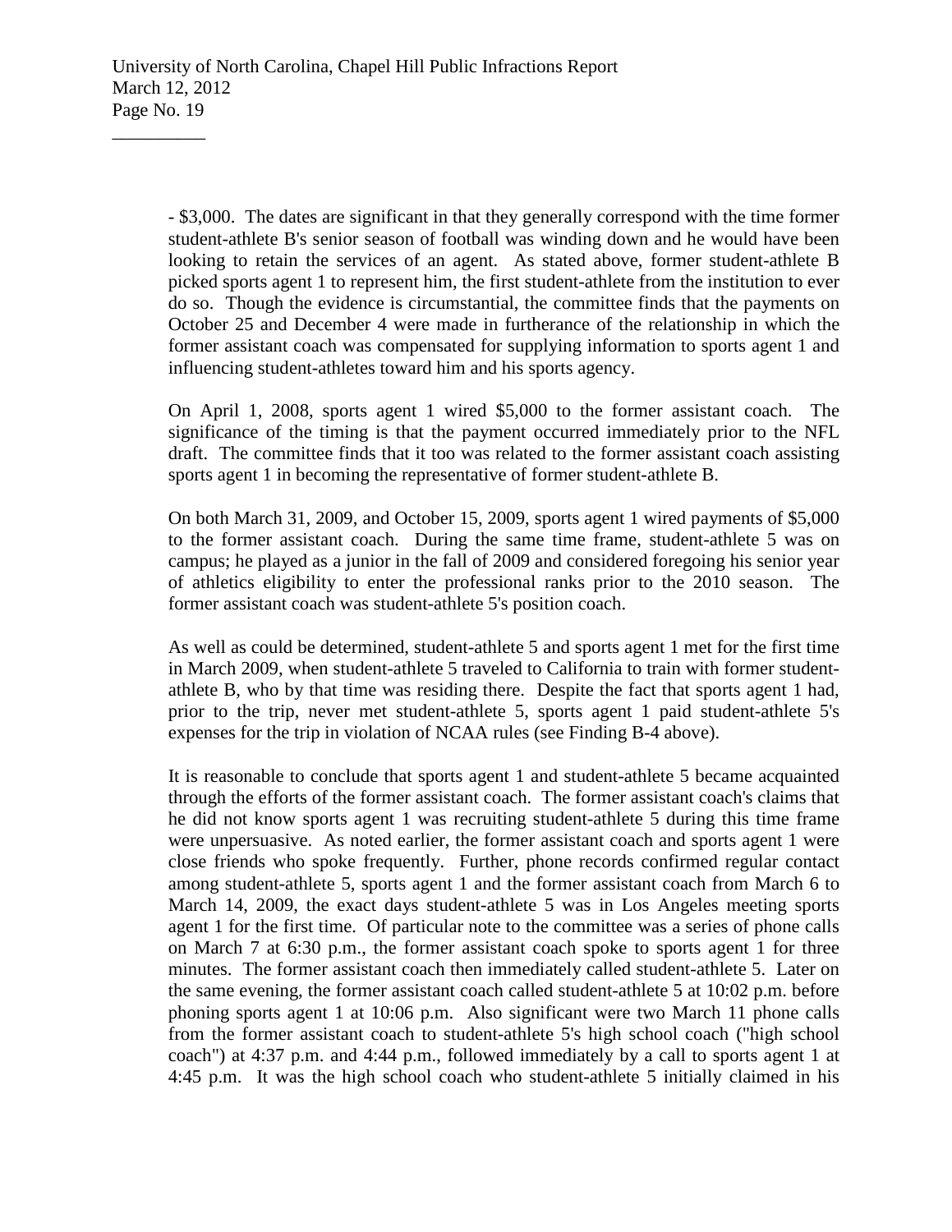- \$3,000. The dates are significant in that they generally correspond with the time former student-athlete B's senior season of football was winding down and he would have been looking to retain the services of an agent. As stated above, former student-athlete B picked sports agent 1 to represent him, the first student-athlete from the institution to ever do so. Though the evidence is circumstantial, the committee finds that the payments on October 25 and December 4 were made in furtherance of the relationship in which the former assistant coach was compensated for supplying information to sports agent 1 and influencing student-athletes toward him and his sports agency.

On April 1, 2008, sports agent 1 wired \$5,000 to the former assistant coach. The significance of the timing is that the payment occurred immediately prior to the NFL draft. The committee finds that it too was related to the former assistant coach assisting sports agent 1 in becoming the representative of former student-athlete B.

On both March 31, 2009, and October 15, 2009, sports agent 1 wired payments of \$5,000 to the former assistant coach. During the same time frame, student-athlete 5 was on campus; he played as a junior in the fall of 2009 and considered foregoing his senior year of athletics eligibility to enter the professional ranks prior to the 2010 season. The former assistant coach was student-athlete 5's position coach.

As well as could be determined, student-athlete 5 and sports agent 1 met for the first time in March 2009, when student-athlete 5 traveled to California to train with former studentathlete B, who by that time was residing there. Despite the fact that sports agent 1 had, prior to the trip, never met student-athlete 5, sports agent 1 paid student-athlete 5's expenses for the trip in violation of NCAA rules (see Finding B-4 above).

It is reasonable to conclude that sports agent 1 and student-athlete 5 became acquainted through the efforts of the former assistant coach. The former assistant coach's claims that he did not know sports agent 1 was recruiting student-athlete 5 during this time frame were unpersuasive. As noted earlier, the former assistant coach and sports agent 1 were close friends who spoke frequently. Further, phone records confirmed regular contact among student-athlete 5, sports agent 1 and the former assistant coach from March 6 to March 14, 2009, the exact days student-athlete 5 was in Los Angeles meeting sports agent 1 for the first time. Of particular note to the committee was a series of phone calls on March 7 at 6:30 p.m., the former assistant coach spoke to sports agent 1 for three minutes. The former assistant coach then immediately called student-athlete 5. Later on the same evening, the former assistant coach called student-athlete 5 at 10:02 p.m. before phoning sports agent 1 at 10:06 p.m. Also significant were two March 11 phone calls from the former assistant coach to student-athlete 5's high school coach ("high school coach") at 4:37 p.m. and 4:44 p.m., followed immediately by a call to sports agent 1 at 4:45 p.m. It was the high school coach who student-athlete 5 initially claimed in his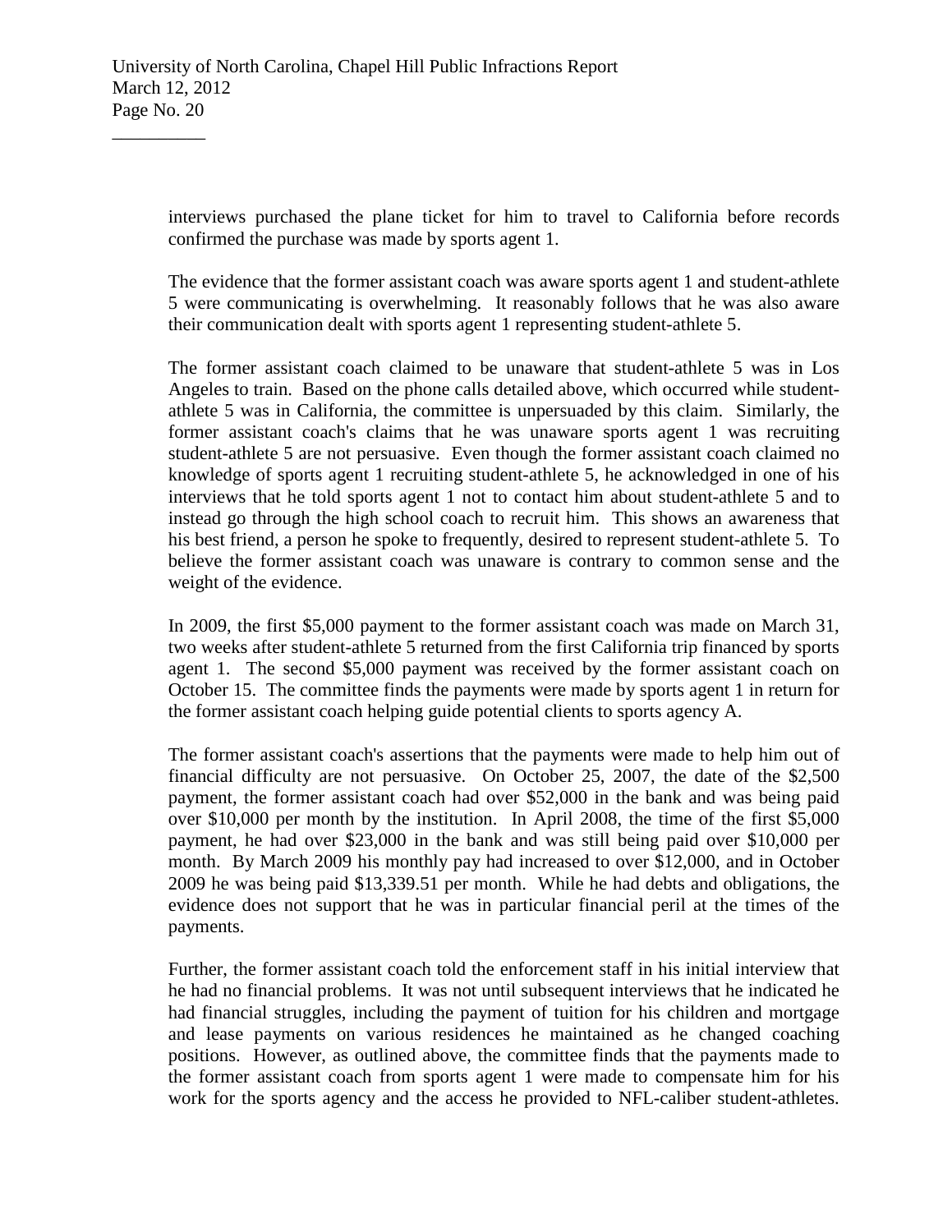interviews purchased the plane ticket for him to travel to California before records confirmed the purchase was made by sports agent 1.

The evidence that the former assistant coach was aware sports agent 1 and student-athlete 5 were communicating is overwhelming. It reasonably follows that he was also aware their communication dealt with sports agent 1 representing student-athlete 5.

The former assistant coach claimed to be unaware that student-athlete 5 was in Los Angeles to train. Based on the phone calls detailed above, which occurred while studentathlete 5 was in California, the committee is unpersuaded by this claim. Similarly, the former assistant coach's claims that he was unaware sports agent 1 was recruiting student-athlete 5 are not persuasive. Even though the former assistant coach claimed no knowledge of sports agent 1 recruiting student-athlete 5, he acknowledged in one of his interviews that he told sports agent 1 not to contact him about student-athlete 5 and to instead go through the high school coach to recruit him. This shows an awareness that his best friend, a person he spoke to frequently, desired to represent student-athlete 5. To believe the former assistant coach was unaware is contrary to common sense and the weight of the evidence.

In 2009, the first \$5,000 payment to the former assistant coach was made on March 31, two weeks after student-athlete 5 returned from the first California trip financed by sports agent 1. The second \$5,000 payment was received by the former assistant coach on October 15. The committee finds the payments were made by sports agent 1 in return for the former assistant coach helping guide potential clients to sports agency A.

The former assistant coach's assertions that the payments were made to help him out of financial difficulty are not persuasive. On October 25, 2007, the date of the \$2,500 payment, the former assistant coach had over \$52,000 in the bank and was being paid over \$10,000 per month by the institution. In April 2008, the time of the first \$5,000 payment, he had over \$23,000 in the bank and was still being paid over \$10,000 per month. By March 2009 his monthly pay had increased to over \$12,000, and in October 2009 he was being paid \$13,339.51 per month. While he had debts and obligations, the evidence does not support that he was in particular financial peril at the times of the payments.

Further, the former assistant coach told the enforcement staff in his initial interview that he had no financial problems. It was not until subsequent interviews that he indicated he had financial struggles, including the payment of tuition for his children and mortgage and lease payments on various residences he maintained as he changed coaching positions. However, as outlined above, the committee finds that the payments made to the former assistant coach from sports agent 1 were made to compensate him for his work for the sports agency and the access he provided to NFL-caliber student-athletes.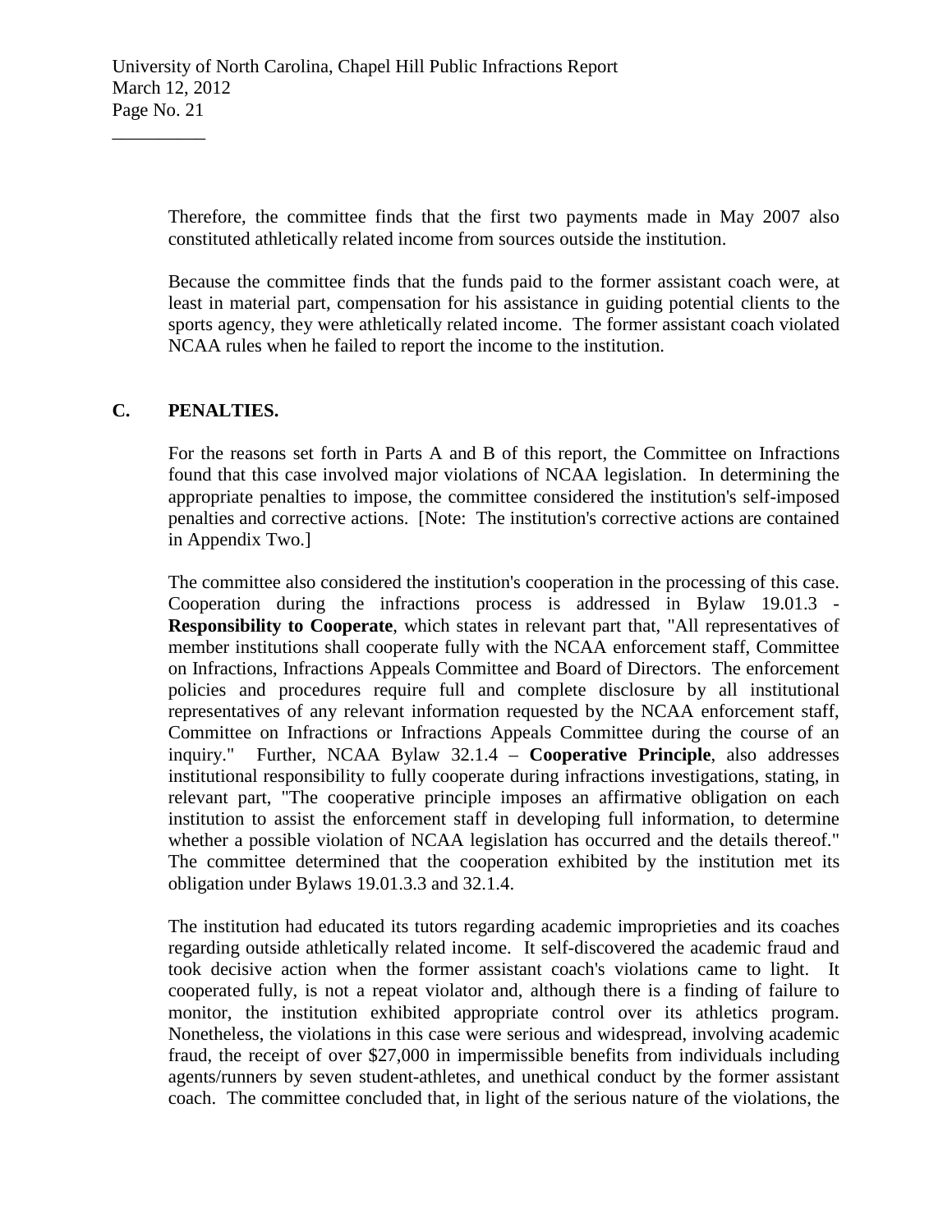Therefore, the committee finds that the first two payments made in May 2007 also constituted athletically related income from sources outside the institution.

Because the committee finds that the funds paid to the former assistant coach were, at least in material part, compensation for his assistance in guiding potential clients to the sports agency, they were athletically related income. The former assistant coach violated NCAA rules when he failed to report the income to the institution.

## **C. PENALTIES.**

 $\overline{\phantom{a}}$  , where  $\overline{\phantom{a}}$ 

For the reasons set forth in Parts A and B of this report, the Committee on Infractions found that this case involved major violations of NCAA legislation. In determining the appropriate penalties to impose, the committee considered the institution's self-imposed penalties and corrective actions. [Note: The institution's corrective actions are contained in Appendix Two.]

The committee also considered the institution's cooperation in the processing of this case. Cooperation during the infractions process is addressed in Bylaw 19.01.3 - **Responsibility to Cooperate**, which states in relevant part that, "All representatives of member institutions shall cooperate fully with the NCAA enforcement staff, Committee on Infractions, Infractions Appeals Committee and Board of Directors. The enforcement policies and procedures require full and complete disclosure by all institutional representatives of any relevant information requested by the NCAA enforcement staff, Committee on Infractions or Infractions Appeals Committee during the course of an inquiry." Further, NCAA Bylaw 32.1.4 – **Cooperative Principle**, also addresses institutional responsibility to fully cooperate during infractions investigations, stating, in relevant part, "The cooperative principle imposes an affirmative obligation on each institution to assist the enforcement staff in developing full information, to determine whether a possible violation of NCAA legislation has occurred and the details thereof." The committee determined that the cooperation exhibited by the institution met its obligation under Bylaws 19.01.3.3 and 32.1.4.

The institution had educated its tutors regarding academic improprieties and its coaches regarding outside athletically related income. It self-discovered the academic fraud and took decisive action when the former assistant coach's violations came to light. It cooperated fully, is not a repeat violator and, although there is a finding of failure to monitor, the institution exhibited appropriate control over its athletics program. Nonetheless, the violations in this case were serious and widespread, involving academic fraud, the receipt of over \$27,000 in impermissible benefits from individuals including agents/runners by seven student-athletes, and unethical conduct by the former assistant coach. The committee concluded that, in light of the serious nature of the violations, the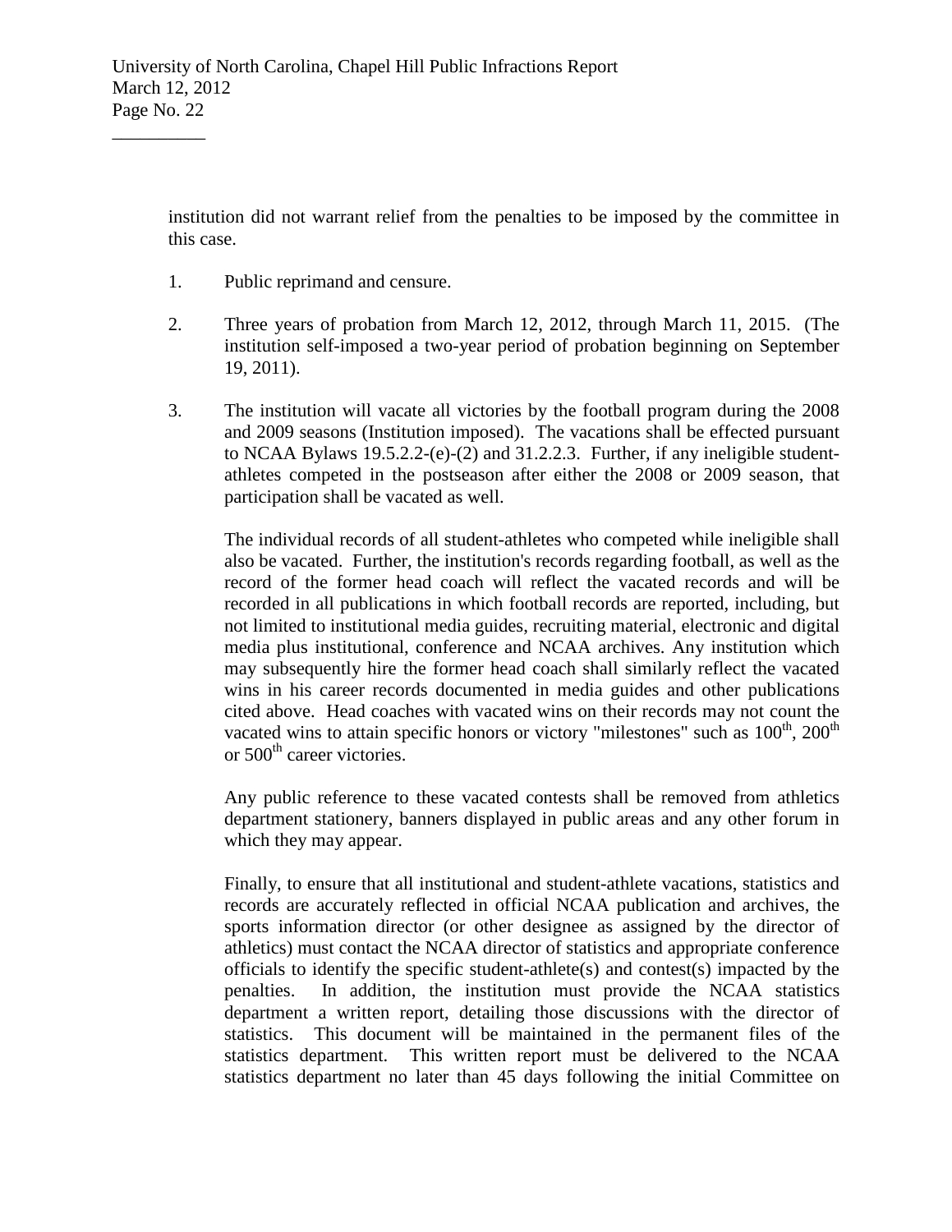institution did not warrant relief from the penalties to be imposed by the committee in this case.

1. Public reprimand and censure.

 $\overline{\phantom{a}}$  , where  $\overline{\phantom{a}}$ 

- 2. Three years of probation from March 12, 2012, through March 11, 2015. (The institution self-imposed a two-year period of probation beginning on September 19, 2011).
- 3. The institution will vacate all victories by the football program during the 2008 and 2009 seasons (Institution imposed). The vacations shall be effected pursuant to NCAA Bylaws 19.5.2.2-(e)-(2) and 31.2.2.3. Further, if any ineligible studentathletes competed in the postseason after either the 2008 or 2009 season, that participation shall be vacated as well.

The individual records of all student-athletes who competed while ineligible shall also be vacated. Further, the institution's records regarding football, as well as the record of the former head coach will reflect the vacated records and will be recorded in all publications in which football records are reported, including, but not limited to institutional media guides, recruiting material, electronic and digital media plus institutional, conference and NCAA archives. Any institution which may subsequently hire the former head coach shall similarly reflect the vacated wins in his career records documented in media guides and other publications cited above. Head coaches with vacated wins on their records may not count the vacated wins to attain specific honors or victory "milestones" such as  $100<sup>th</sup>$ ,  $200<sup>th</sup>$ or 500<sup>th</sup> career victories.

Any public reference to these vacated contests shall be removed from athletics department stationery, banners displayed in public areas and any other forum in which they may appear.

Finally, to ensure that all institutional and student-athlete vacations, statistics and records are accurately reflected in official NCAA publication and archives, the sports information director (or other designee as assigned by the director of athletics) must contact the NCAA director of statistics and appropriate conference officials to identify the specific student-athlete(s) and contest(s) impacted by the penalties. In addition, the institution must provide the NCAA statistics department a written report, detailing those discussions with the director of statistics. This document will be maintained in the permanent files of the statistics department. This written report must be delivered to the NCAA statistics department no later than 45 days following the initial Committee on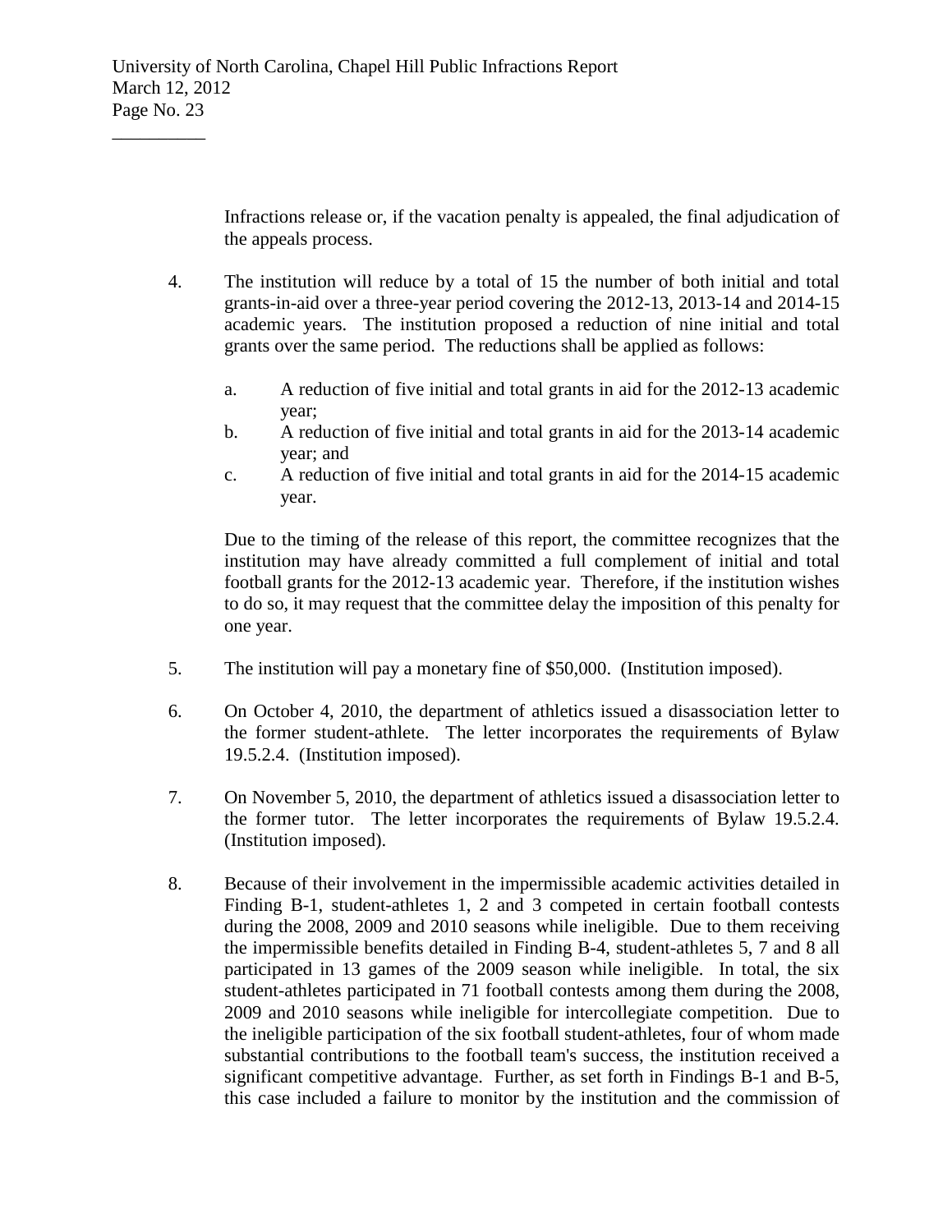Infractions release or, if the vacation penalty is appealed, the final adjudication of the appeals process.

- 4. The institution will reduce by a total of 15 the number of both initial and total grants-in-aid over a three-year period covering the 2012-13, 2013-14 and 2014-15 academic years. The institution proposed a reduction of nine initial and total grants over the same period. The reductions shall be applied as follows:
	- a. A reduction of five initial and total grants in aid for the 2012-13 academic year;
	- b. A reduction of five initial and total grants in aid for the 2013-14 academic year; and
	- c. A reduction of five initial and total grants in aid for the 2014-15 academic year.

Due to the timing of the release of this report, the committee recognizes that the institution may have already committed a full complement of initial and total football grants for the 2012-13 academic year. Therefore, if the institution wishes to do so, it may request that the committee delay the imposition of this penalty for one year.

- 5. The institution will pay a monetary fine of \$50,000. (Institution imposed).
- 6. On October 4, 2010, the department of athletics issued a disassociation letter to the former student-athlete. The letter incorporates the requirements of Bylaw 19.5.2.4. (Institution imposed).
- 7. On November 5, 2010, the department of athletics issued a disassociation letter to the former tutor. The letter incorporates the requirements of Bylaw 19.5.2.4. (Institution imposed).
- 8. Because of their involvement in the impermissible academic activities detailed in Finding B-1, student-athletes 1, 2 and 3 competed in certain football contests during the 2008, 2009 and 2010 seasons while ineligible. Due to them receiving the impermissible benefits detailed in Finding B-4, student-athletes 5, 7 and 8 all participated in 13 games of the 2009 season while ineligible. In total, the six student-athletes participated in 71 football contests among them during the 2008, 2009 and 2010 seasons while ineligible for intercollegiate competition. Due to the ineligible participation of the six football student-athletes, four of whom made substantial contributions to the football team's success, the institution received a significant competitive advantage. Further, as set forth in Findings B-1 and B-5, this case included a failure to monitor by the institution and the commission of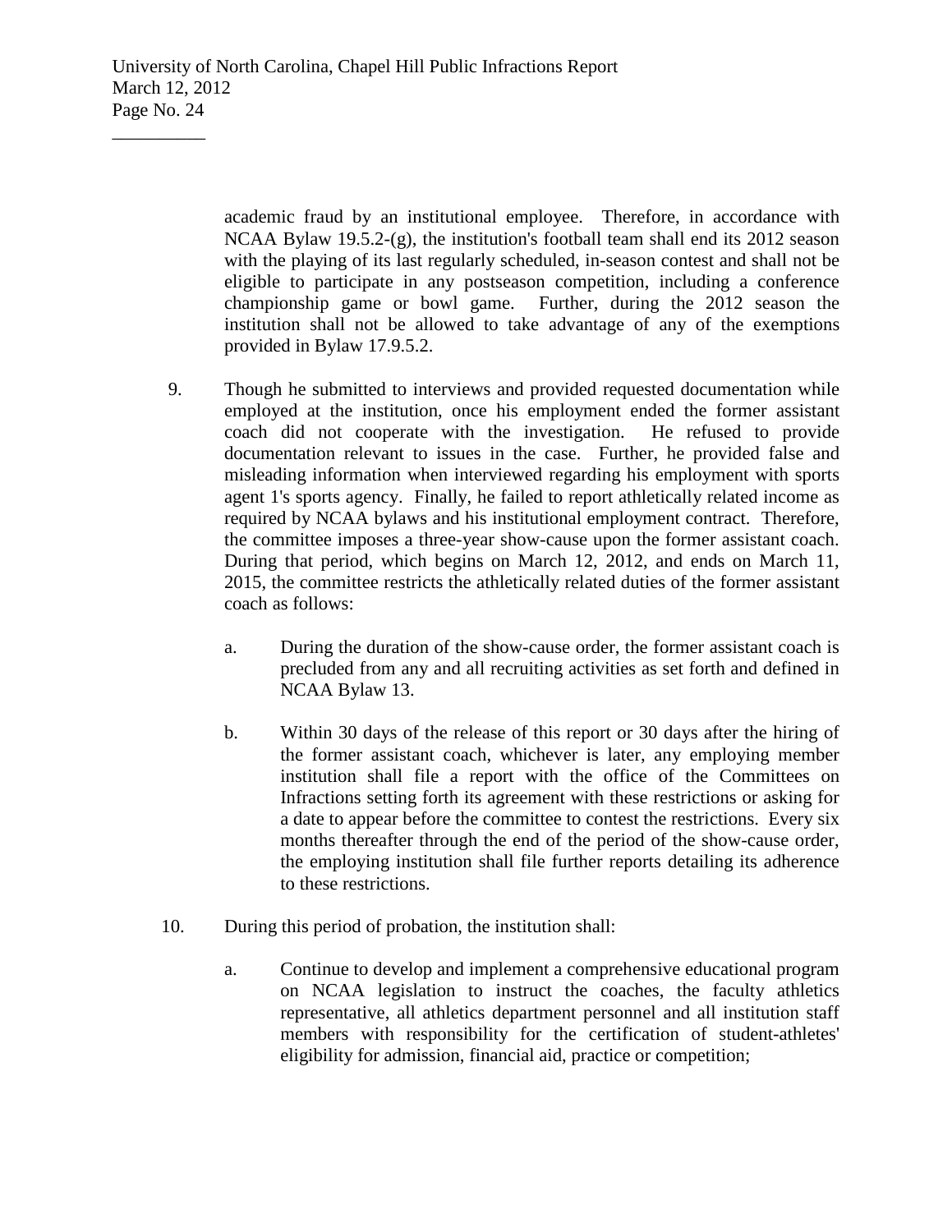University of North Carolina, Chapel Hill Public Infractions Report March 12, 2012 Page No. 24

 $\overline{\phantom{a}}$  , where  $\overline{\phantom{a}}$ 

academic fraud by an institutional employee. Therefore, in accordance with NCAA Bylaw 19.5.2-(g), the institution's football team shall end its 2012 season with the playing of its last regularly scheduled, in-season contest and shall not be eligible to participate in any postseason competition, including a conference championship game or bowl game. Further, during the 2012 season the institution shall not be allowed to take advantage of any of the exemptions provided in Bylaw 17.9.5.2.

- 9. Though he submitted to interviews and provided requested documentation while employed at the institution, once his employment ended the former assistant coach did not cooperate with the investigation. He refused to provide documentation relevant to issues in the case. Further, he provided false and misleading information when interviewed regarding his employment with sports agent 1's sports agency. Finally, he failed to report athletically related income as required by NCAA bylaws and his institutional employment contract. Therefore, the committee imposes a three-year show-cause upon the former assistant coach. During that period, which begins on March 12, 2012, and ends on March 11, 2015, the committee restricts the athletically related duties of the former assistant coach as follows:
	- a. During the duration of the show-cause order, the former assistant coach is precluded from any and all recruiting activities as set forth and defined in NCAA Bylaw 13.
	- b. Within 30 days of the release of this report or 30 days after the hiring of the former assistant coach, whichever is later, any employing member institution shall file a report with the office of the Committees on Infractions setting forth its agreement with these restrictions or asking for a date to appear before the committee to contest the restrictions. Every six months thereafter through the end of the period of the show-cause order, the employing institution shall file further reports detailing its adherence to these restrictions.
- 10. During this period of probation, the institution shall:
	- a. Continue to develop and implement a comprehensive educational program on NCAA legislation to instruct the coaches, the faculty athletics representative, all athletics department personnel and all institution staff members with responsibility for the certification of student-athletes' eligibility for admission, financial aid, practice or competition;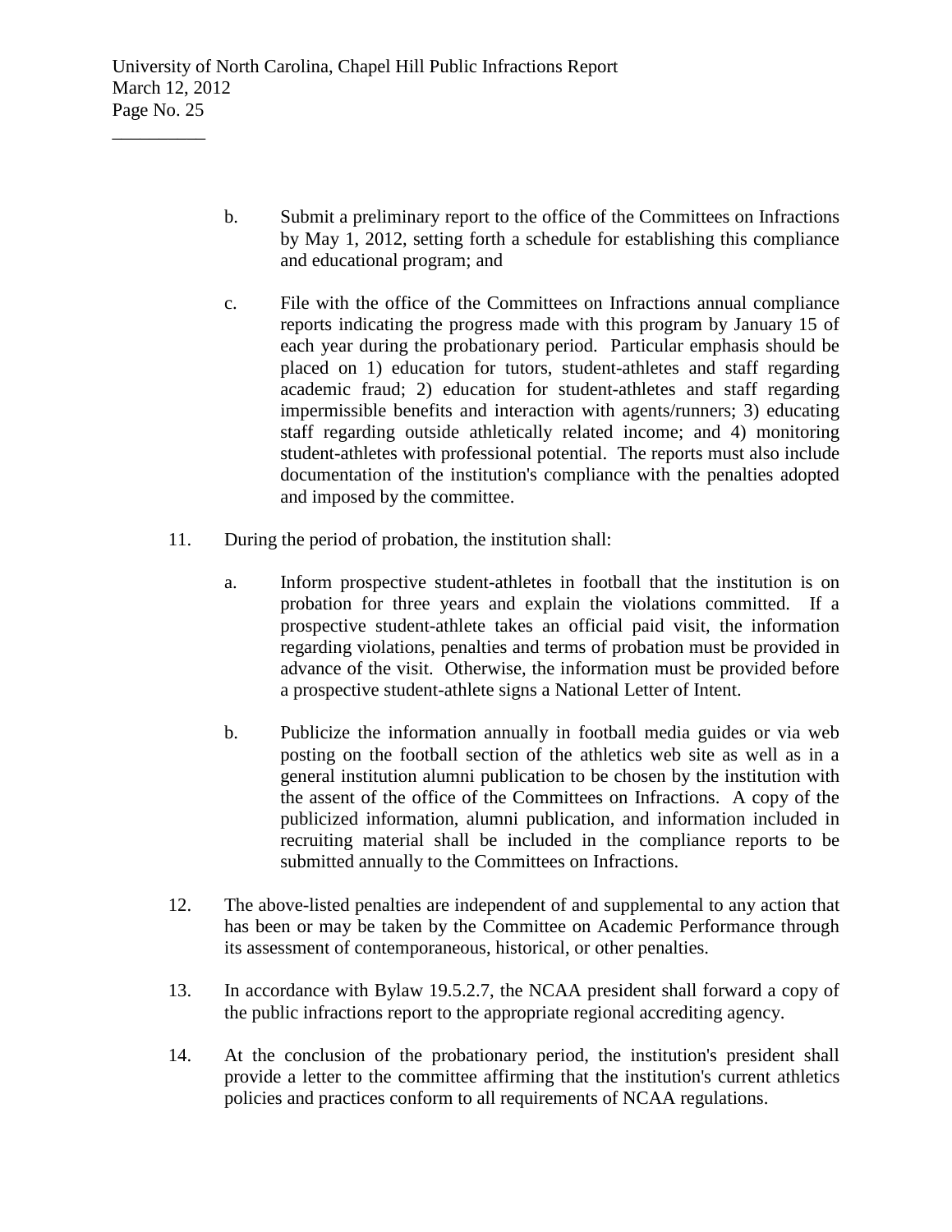- b. Submit a preliminary report to the office of the Committees on Infractions by May 1, 2012, setting forth a schedule for establishing this compliance and educational program; and
- c. File with the office of the Committees on Infractions annual compliance reports indicating the progress made with this program by January 15 of each year during the probationary period. Particular emphasis should be placed on 1) education for tutors, student-athletes and staff regarding academic fraud; 2) education for student-athletes and staff regarding impermissible benefits and interaction with agents/runners; 3) educating staff regarding outside athletically related income; and 4) monitoring student-athletes with professional potential. The reports must also include documentation of the institution's compliance with the penalties adopted and imposed by the committee.
- 11. During the period of probation, the institution shall:
	- a. Inform prospective student-athletes in football that the institution is on probation for three years and explain the violations committed. If a prospective student-athlete takes an official paid visit, the information regarding violations, penalties and terms of probation must be provided in advance of the visit. Otherwise, the information must be provided before a prospective student-athlete signs a National Letter of Intent.
	- b. Publicize the information annually in football media guides or via web posting on the football section of the athletics web site as well as in a general institution alumni publication to be chosen by the institution with the assent of the office of the Committees on Infractions. A copy of the publicized information, alumni publication, and information included in recruiting material shall be included in the compliance reports to be submitted annually to the Committees on Infractions.
- 12. The above-listed penalties are independent of and supplemental to any action that has been or may be taken by the Committee on Academic Performance through its assessment of contemporaneous, historical, or other penalties.
- 13. In accordance with Bylaw 19.5.2.7, the NCAA president shall forward a copy of the public infractions report to the appropriate regional accrediting agency.
- 14. At the conclusion of the probationary period, the institution's president shall provide a letter to the committee affirming that the institution's current athletics policies and practices conform to all requirements of NCAA regulations.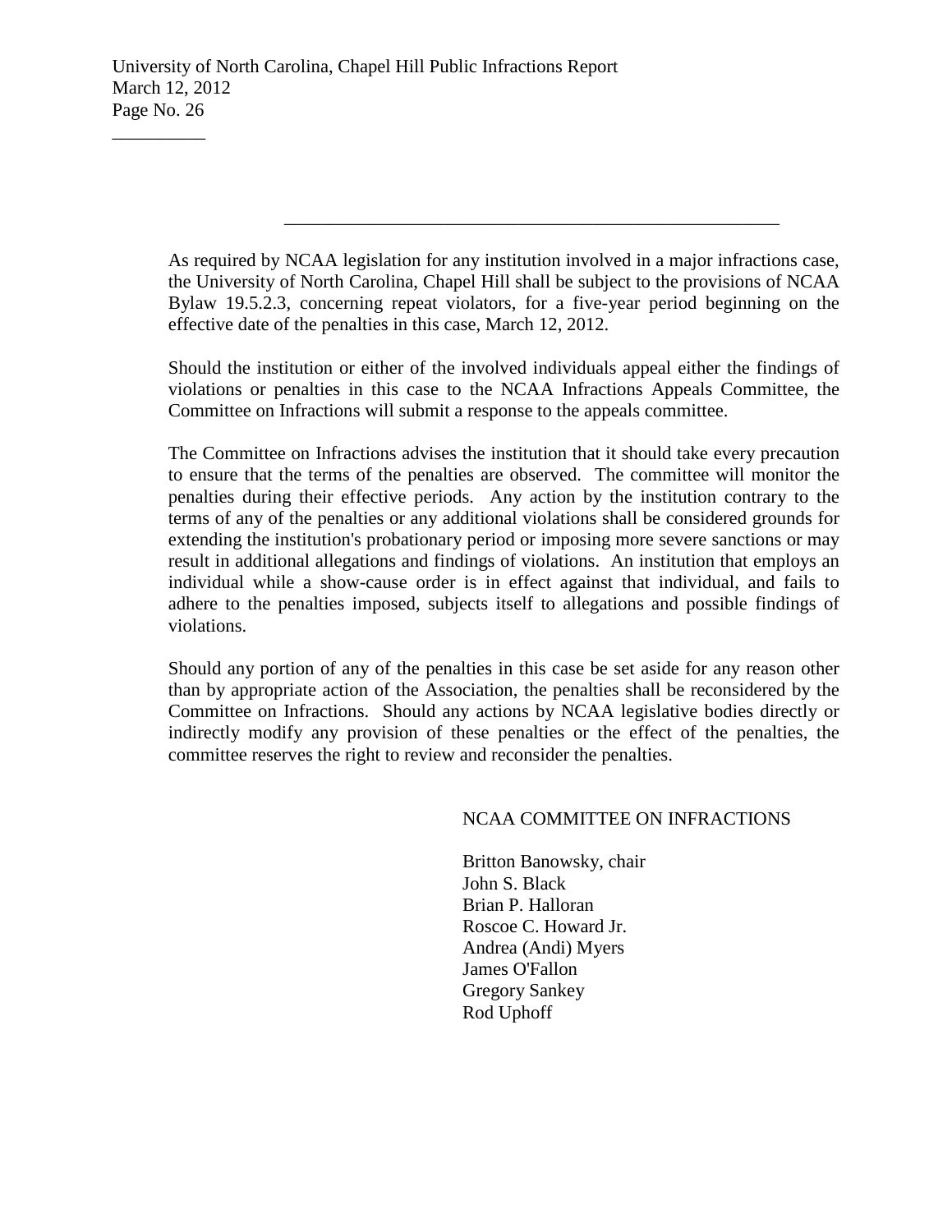As required by NCAA legislation for any institution involved in a major infractions case, the University of North Carolina, Chapel Hill shall be subject to the provisions of NCAA Bylaw 19.5.2.3, concerning repeat violators, for a five-year period beginning on the effective date of the penalties in this case, March 12, 2012.

\_\_\_\_\_\_\_\_\_\_\_\_\_\_\_\_\_\_\_\_\_\_\_\_\_\_\_\_\_\_\_\_\_\_\_\_\_\_\_\_\_\_\_\_\_\_\_\_\_\_\_\_\_

Should the institution or either of the involved individuals appeal either the findings of violations or penalties in this case to the NCAA Infractions Appeals Committee, the Committee on Infractions will submit a response to the appeals committee.

The Committee on Infractions advises the institution that it should take every precaution to ensure that the terms of the penalties are observed. The committee will monitor the penalties during their effective periods. Any action by the institution contrary to the terms of any of the penalties or any additional violations shall be considered grounds for extending the institution's probationary period or imposing more severe sanctions or may result in additional allegations and findings of violations. An institution that employs an individual while a show-cause order is in effect against that individual, and fails to adhere to the penalties imposed, subjects itself to allegations and possible findings of violations.

Should any portion of any of the penalties in this case be set aside for any reason other than by appropriate action of the Association, the penalties shall be reconsidered by the Committee on Infractions. Should any actions by NCAA legislative bodies directly or indirectly modify any provision of these penalties or the effect of the penalties, the committee reserves the right to review and reconsider the penalties.

#### NCAA COMMITTEE ON INFRACTIONS

Britton Banowsky, chair John S. Black Brian P. Halloran Roscoe C. Howard Jr. Andrea (Andi) Myers James O'Fallon Gregory Sankey Rod Uphoff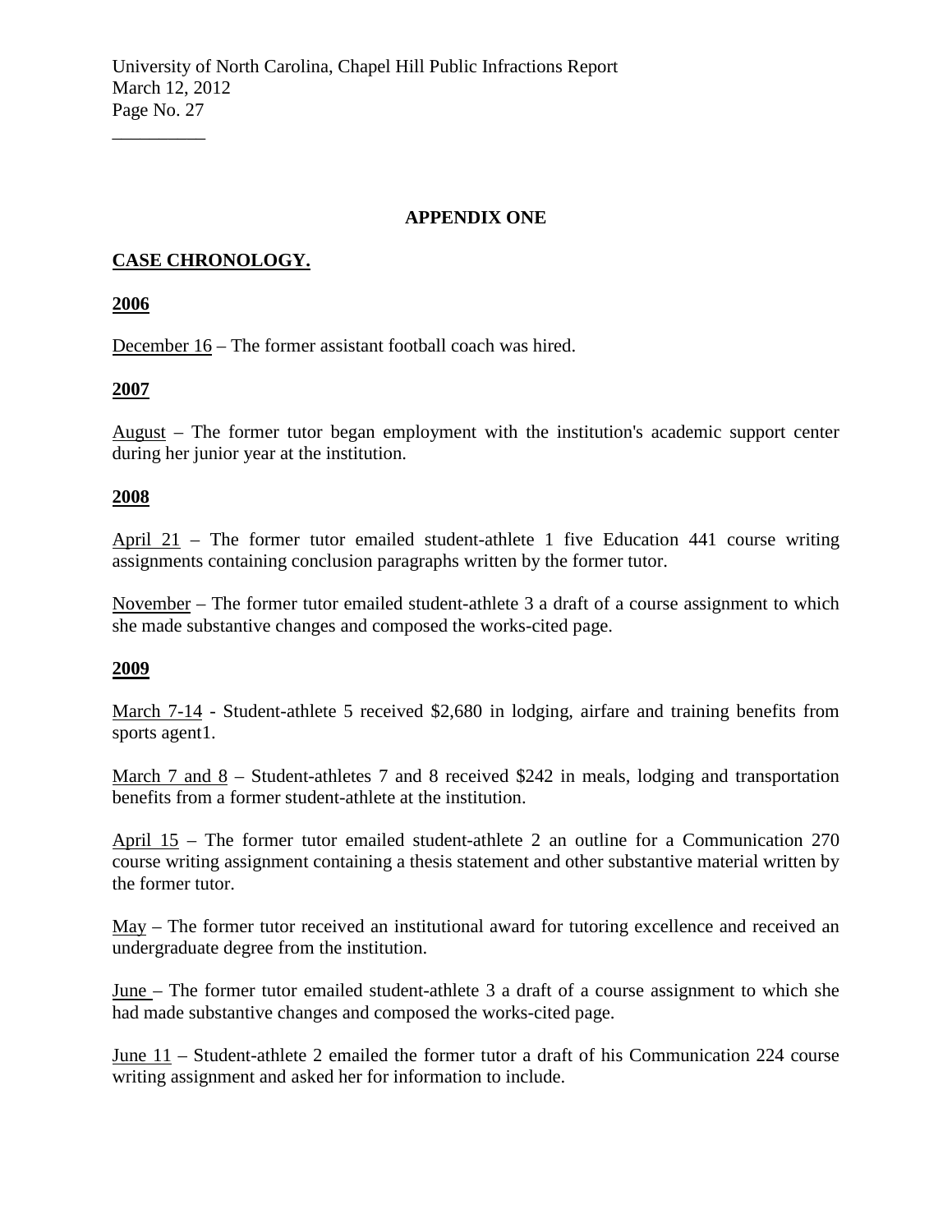#### **APPENDIX ONE**

# **CASE CHRONOLOGY.**

**2006**

 $\overline{\phantom{a}}$  , where  $\overline{\phantom{a}}$ 

December 16 – The former assistant football coach was hired.

### **2007**

August – The former tutor began employment with the institution's academic support center during her junior year at the institution.

### **2008**

April 21 – The former tutor emailed student-athlete 1 five Education 441 course writing assignments containing conclusion paragraphs written by the former tutor.

November – The former tutor emailed student-athlete 3 a draft of a course assignment to which she made substantive changes and composed the works-cited page.

## **2009**

March 7-14 - Student-athlete 5 received \$2,680 in lodging, airfare and training benefits from sports agent1.

March 7 and 8 – Student-athletes 7 and 8 received \$242 in meals, lodging and transportation benefits from a former student-athlete at the institution.

April 15 – The former tutor emailed student-athlete 2 an outline for a Communication 270 course writing assignment containing a thesis statement and other substantive material written by the former tutor.

May – The former tutor received an institutional award for tutoring excellence and received an undergraduate degree from the institution.

June – The former tutor emailed student-athlete 3 a draft of a course assignment to which she had made substantive changes and composed the works-cited page.

June 11 – Student-athlete 2 emailed the former tutor a draft of his Communication 224 course writing assignment and asked her for information to include.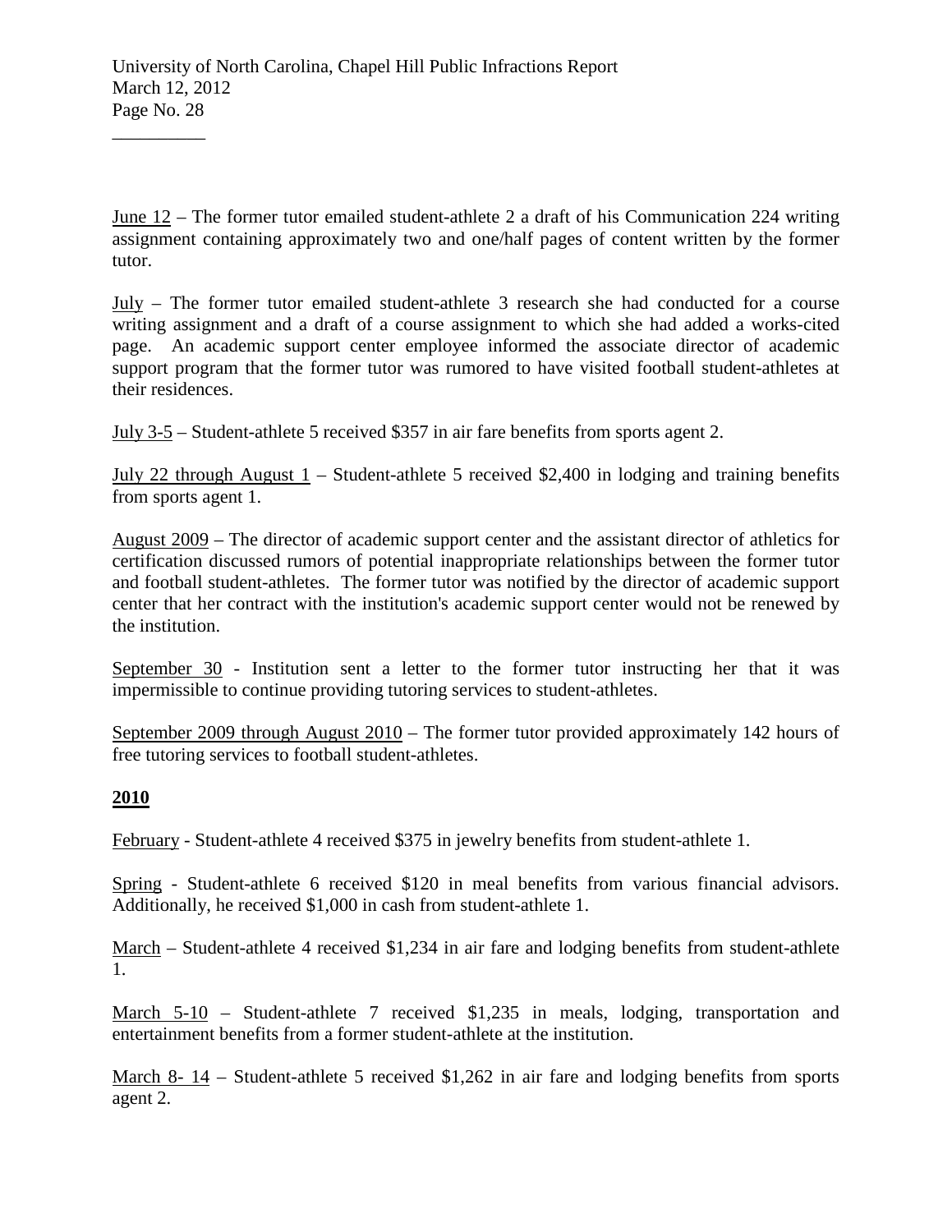June 12 – The former tutor emailed student-athlete 2 a draft of his Communication 224 writing assignment containing approximately two and one/half pages of content written by the former tutor.

July – The former tutor emailed student-athlete 3 research she had conducted for a course writing assignment and a draft of a course assignment to which she had added a works-cited page. An academic support center employee informed the associate director of academic support program that the former tutor was rumored to have visited football student-athletes at their residences.

July 3-5 – Student-athlete 5 received \$357 in air fare benefits from sports agent 2.

July 22 through August 1 – Student-athlete 5 received \$2,400 in lodging and training benefits from sports agent 1.

August 2009 – The director of academic support center and the assistant director of athletics for certification discussed rumors of potential inappropriate relationships between the former tutor and football student-athletes. The former tutor was notified by the director of academic support center that her contract with the institution's academic support center would not be renewed by the institution.

September 30 - Institution sent a letter to the former tutor instructing her that it was impermissible to continue providing tutoring services to student-athletes.

September 2009 through August 2010 – The former tutor provided approximately 142 hours of free tutoring services to football student-athletes.

### **2010**

 $\overline{\phantom{a}}$  , where  $\overline{\phantom{a}}$ 

February - Student-athlete 4 received \$375 in jewelry benefits from student-athlete 1.

Spring - Student-athlete 6 received \$120 in meal benefits from various financial advisors. Additionally, he received \$1,000 in cash from student-athlete 1.

March – Student-athlete 4 received \$1,234 in air fare and lodging benefits from student-athlete 1.

March 5-10 – Student-athlete 7 received \$1,235 in meals, lodging, transportation and entertainment benefits from a former student-athlete at the institution.

March 8- 14 – Student-athlete 5 received \$1,262 in air fare and lodging benefits from sports agent 2.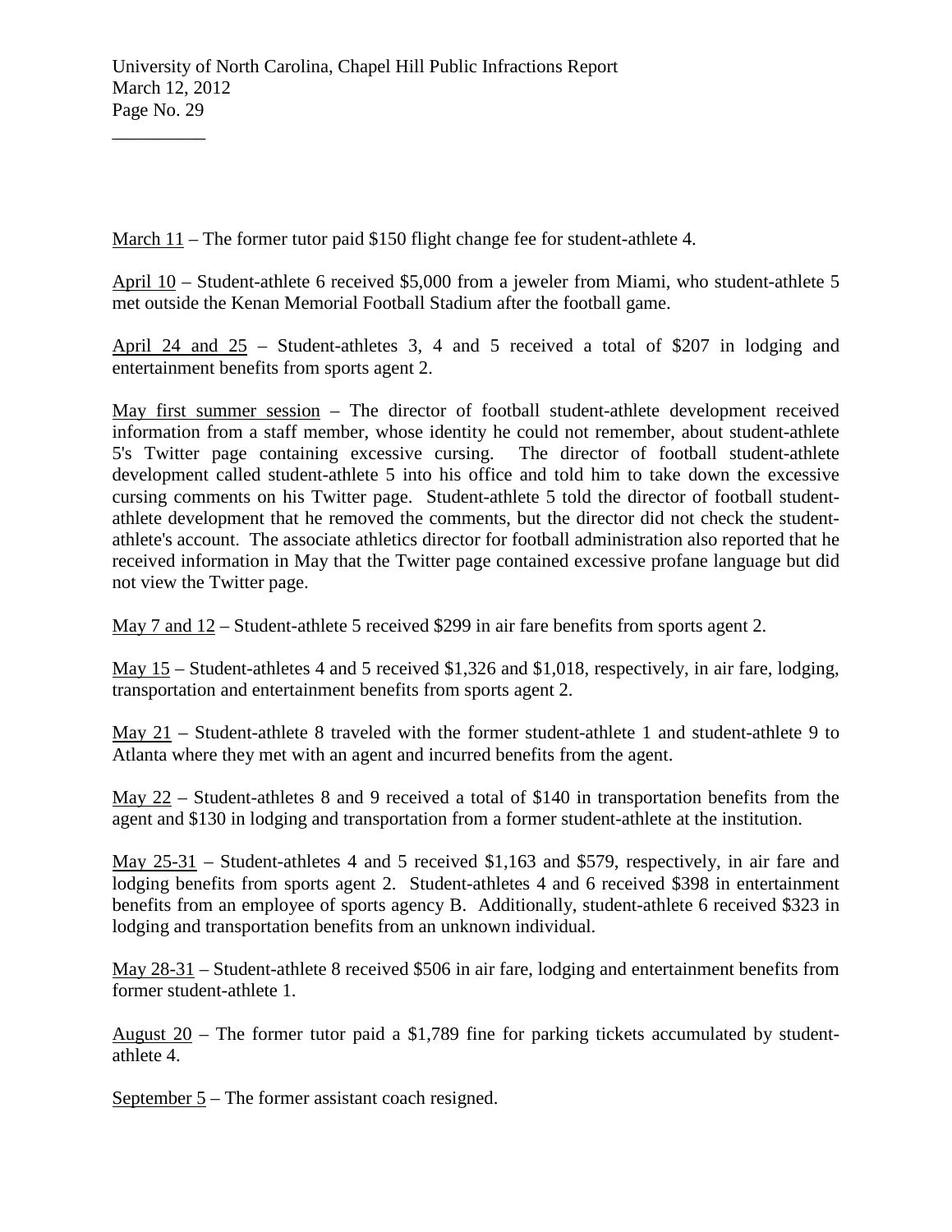March 11 – The former tutor paid \$150 flight change fee for student-athlete 4.

April 10 – Student-athlete 6 received \$5,000 from a jeweler from Miami, who student-athlete 5 met outside the Kenan Memorial Football Stadium after the football game.

April 24 and 25 – Student-athletes 3, 4 and 5 received a total of \$207 in lodging and entertainment benefits from sports agent 2.

May first summer session – The director of football student-athlete development received information from a staff member, whose identity he could not remember, about student-athlete 5's Twitter page containing excessive cursing. The director of football student-athlete development called student-athlete 5 into his office and told him to take down the excessive cursing comments on his Twitter page. Student-athlete 5 told the director of football studentathlete development that he removed the comments, but the director did not check the studentathlete's account. The associate athletics director for football administration also reported that he received information in May that the Twitter page contained excessive profane language but did not view the Twitter page.

May 7 and 12 – Student-athlete 5 received \$299 in air fare benefits from sports agent 2.

May 15 – Student-athletes 4 and 5 received \$1,326 and \$1,018, respectively, in air fare, lodging, transportation and entertainment benefits from sports agent 2.

May 21 – Student-athlete 8 traveled with the former student-athlete 1 and student-athlete 9 to Atlanta where they met with an agent and incurred benefits from the agent.

May 22 – Student-athletes 8 and 9 received a total of \$140 in transportation benefits from the agent and \$130 in lodging and transportation from a former student-athlete at the institution.

May 25-31 – Student-athletes 4 and 5 received \$1,163 and \$579, respectively, in air fare and lodging benefits from sports agent 2. Student-athletes 4 and 6 received \$398 in entertainment benefits from an employee of sports agency B. Additionally, student-athlete 6 received \$323 in lodging and transportation benefits from an unknown individual.

May 28-31 – Student-athlete 8 received \$506 in air fare, lodging and entertainment benefits from former student-athlete 1.

August 20 – The former tutor paid a \$1,789 fine for parking tickets accumulated by studentathlete 4.

September 5 – The former assistant coach resigned.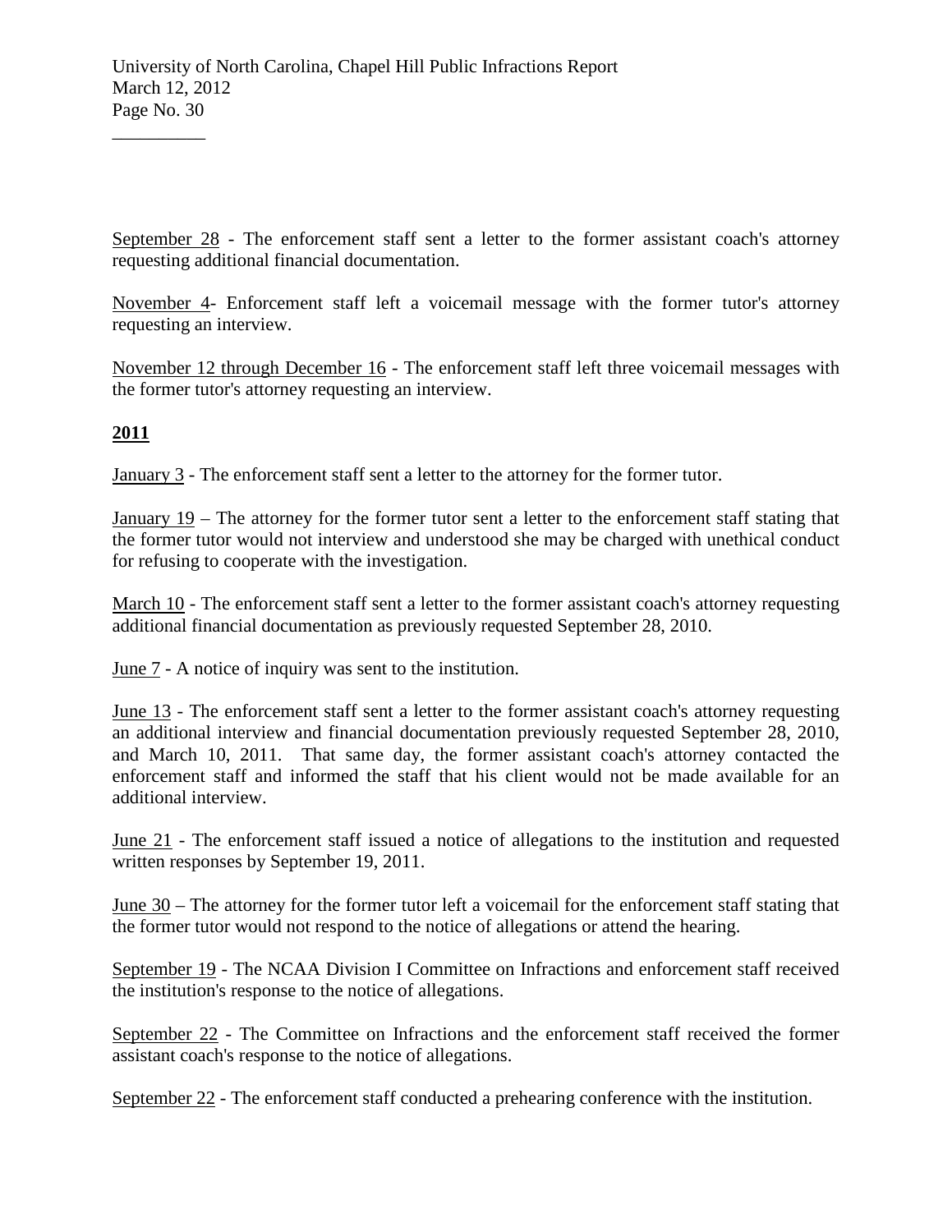September 28 - The enforcement staff sent a letter to the former assistant coach's attorney requesting additional financial documentation.

November 4- Enforcement staff left a voicemail message with the former tutor's attorney requesting an interview.

November 12 through December 16 - The enforcement staff left three voicemail messages with the former tutor's attorney requesting an interview.

## **2011**

 $\overline{\phantom{a}}$  , where  $\overline{\phantom{a}}$ 

January 3 - The enforcement staff sent a letter to the attorney for the former tutor.

January 19 – The attorney for the former tutor sent a letter to the enforcement staff stating that the former tutor would not interview and understood she may be charged with unethical conduct for refusing to cooperate with the investigation.

March 10 - The enforcement staff sent a letter to the former assistant coach's attorney requesting additional financial documentation as previously requested September 28, 2010.

June 7 - A notice of inquiry was sent to the institution.

June 13 - The enforcement staff sent a letter to the former assistant coach's attorney requesting an additional interview and financial documentation previously requested September 28, 2010, and March 10, 2011. That same day, the former assistant coach's attorney contacted the enforcement staff and informed the staff that his client would not be made available for an additional interview.

June 21 - The enforcement staff issued a notice of allegations to the institution and requested written responses by September 19, 2011.

June 30 – The attorney for the former tutor left a voicemail for the enforcement staff stating that the former tutor would not respond to the notice of allegations or attend the hearing.

September 19 - The NCAA Division I Committee on Infractions and enforcement staff received the institution's response to the notice of allegations.

September 22 - The Committee on Infractions and the enforcement staff received the former assistant coach's response to the notice of allegations.

September 22 - The enforcement staff conducted a prehearing conference with the institution.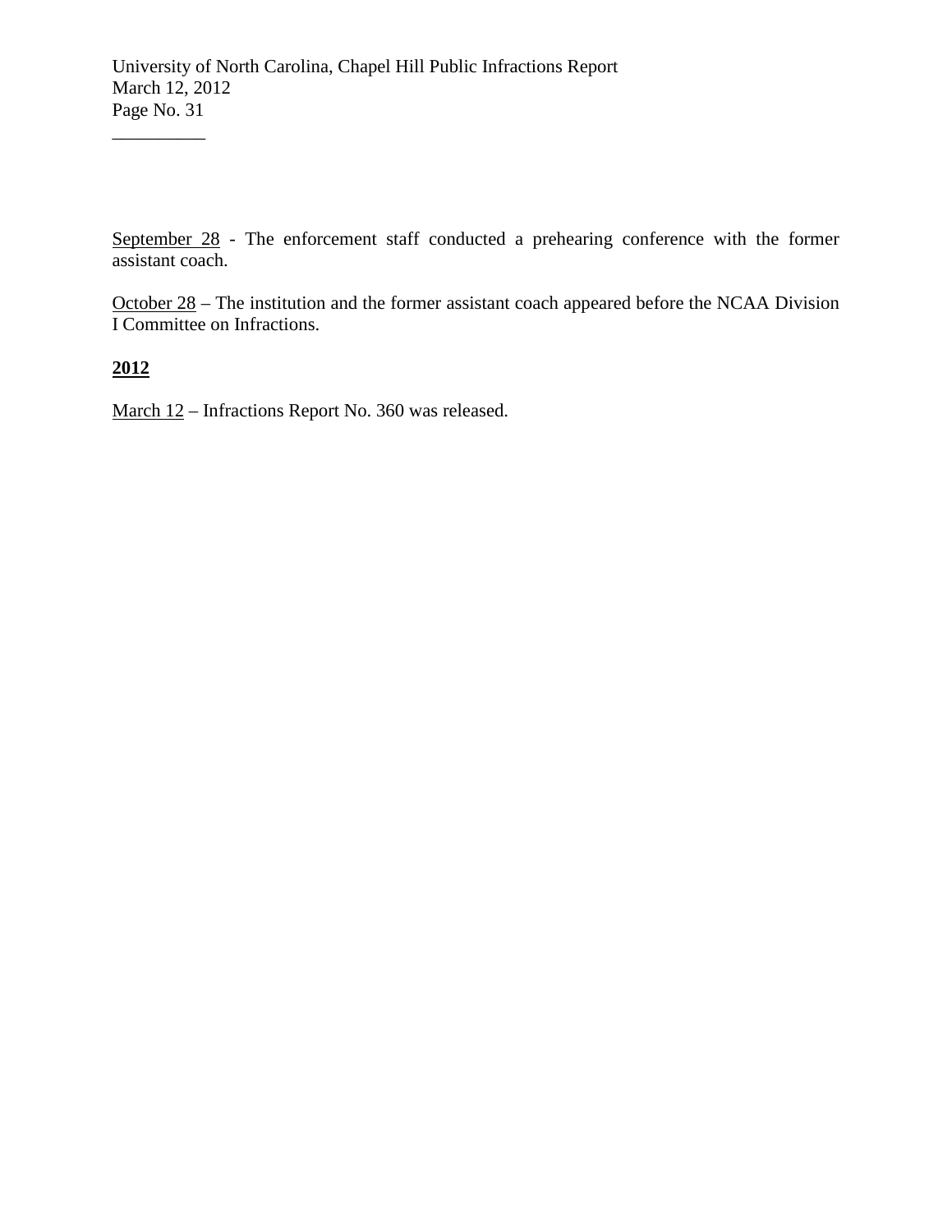September 28 - The enforcement staff conducted a prehearing conference with the former assistant coach.

October 28 – The institution and the former assistant coach appeared before the NCAA Division I Committee on Infractions.

**2012**

 $\overline{\phantom{a}}$ 

March 12 – Infractions Report No. 360 was released.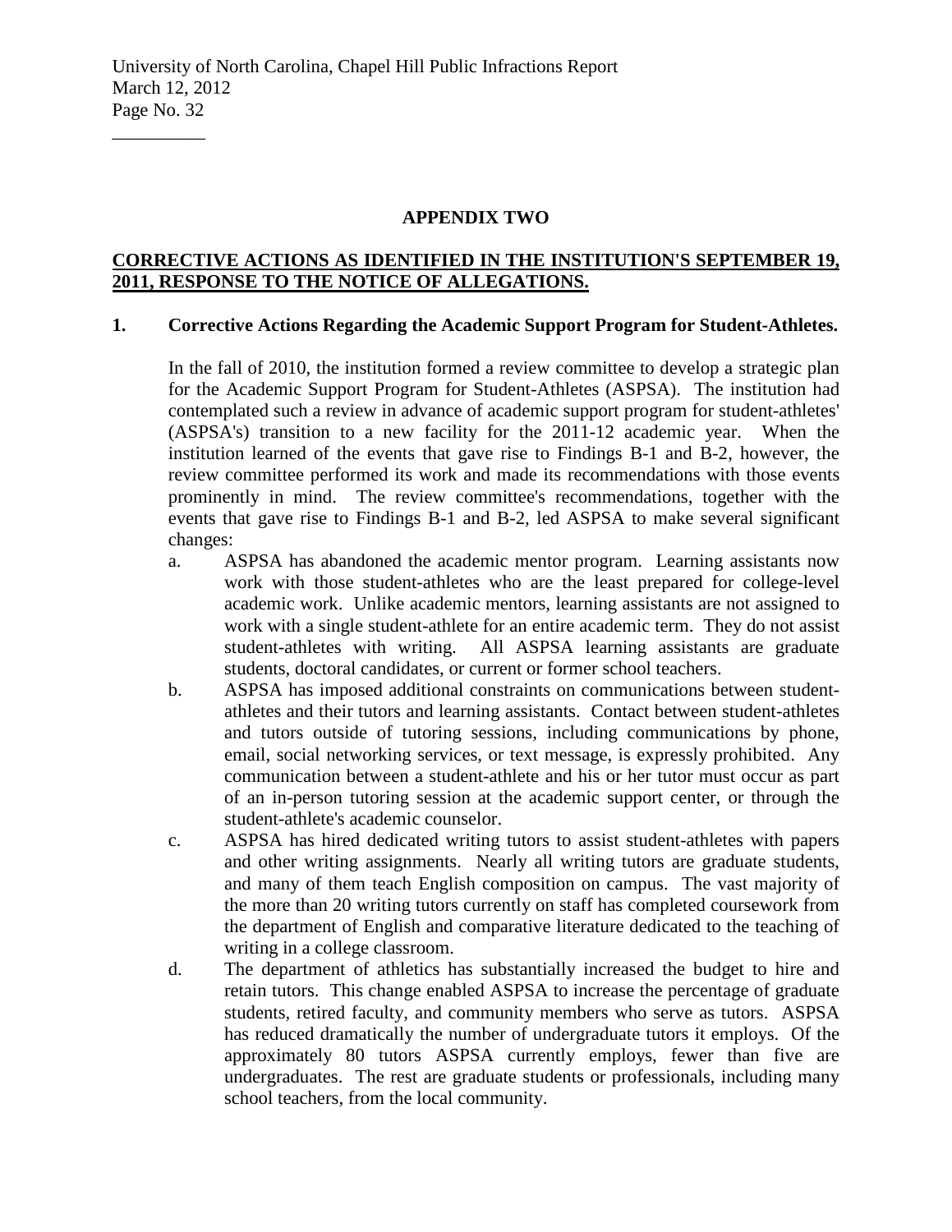#### **APPENDIX TWO**

### **CORRECTIVE ACTIONS AS IDENTIFIED IN THE INSTITUTION'S SEPTEMBER 19, 2011, RESPONSE TO THE NOTICE OF ALLEGATIONS.**

### **1. Corrective Actions Regarding the Academic Support Program for Student-Athletes.**

In the fall of 2010, the institution formed a review committee to develop a strategic plan for the Academic Support Program for Student-Athletes (ASPSA). The institution had contemplated such a review in advance of academic support program for student-athletes' (ASPSA's) transition to a new facility for the 2011-12 academic year. When the institution learned of the events that gave rise to Findings B-1 and B-2, however, the review committee performed its work and made its recommendations with those events prominently in mind. The review committee's recommendations, together with the events that gave rise to Findings B-1 and B-2, led ASPSA to make several significant changes:

- a. ASPSA has abandoned the academic mentor program. Learning assistants now work with those student-athletes who are the least prepared for college-level academic work. Unlike academic mentors, learning assistants are not assigned to work with a single student-athlete for an entire academic term. They do not assist student-athletes with writing. All ASPSA learning assistants are graduate students, doctoral candidates, or current or former school teachers.
- b. ASPSA has imposed additional constraints on communications between studentathletes and their tutors and learning assistants. Contact between student-athletes and tutors outside of tutoring sessions, including communications by phone, email, social networking services, or text message, is expressly prohibited. Any communication between a student-athlete and his or her tutor must occur as part of an in-person tutoring session at the academic support center, or through the student-athlete's academic counselor.
- c. ASPSA has hired dedicated writing tutors to assist student-athletes with papers and other writing assignments. Nearly all writing tutors are graduate students, and many of them teach English composition on campus. The vast majority of the more than 20 writing tutors currently on staff has completed coursework from the department of English and comparative literature dedicated to the teaching of writing in a college classroom.
- d. The department of athletics has substantially increased the budget to hire and retain tutors. This change enabled ASPSA to increase the percentage of graduate students, retired faculty, and community members who serve as tutors. ASPSA has reduced dramatically the number of undergraduate tutors it employs. Of the approximately 80 tutors ASPSA currently employs, fewer than five are undergraduates. The rest are graduate students or professionals, including many school teachers, from the local community.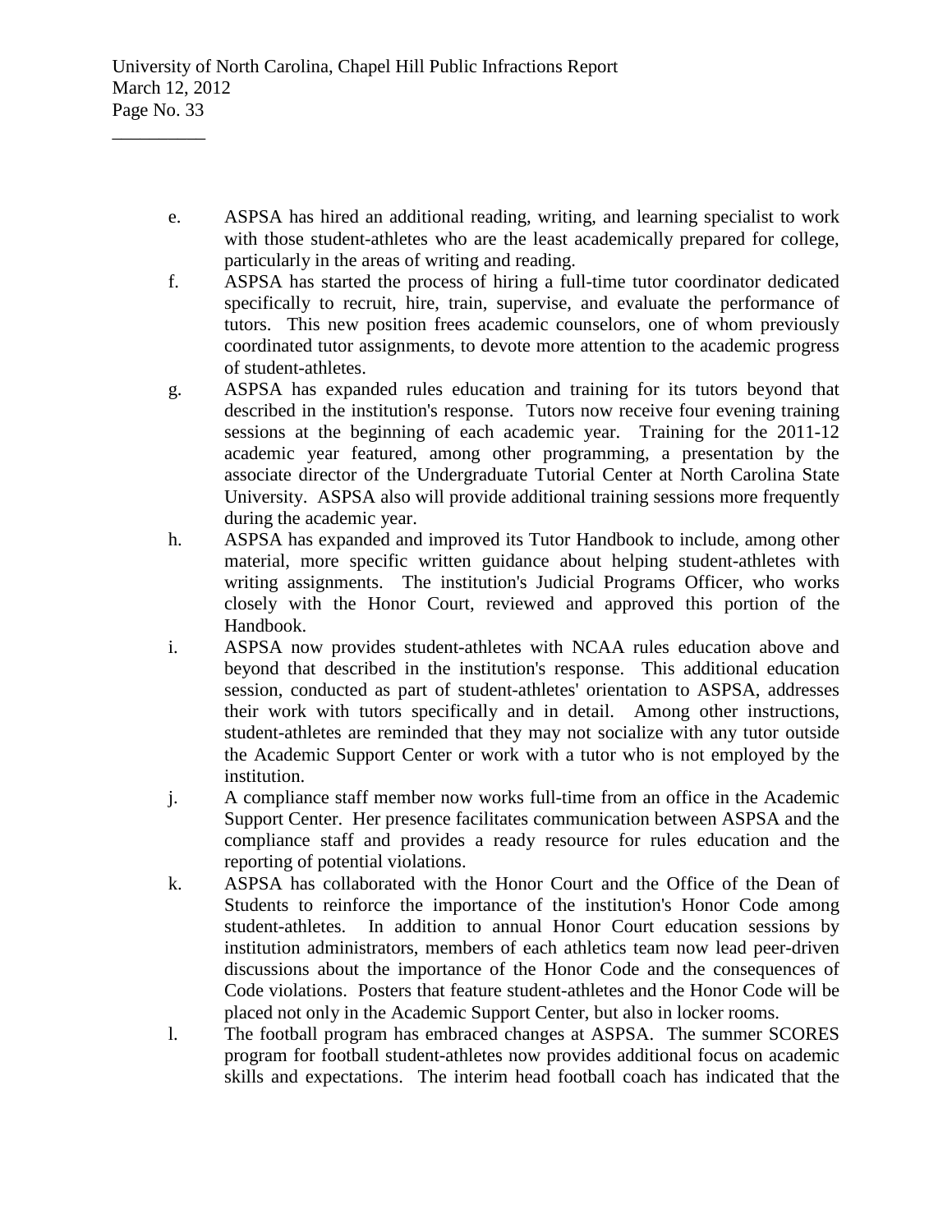- e. ASPSA has hired an additional reading, writing, and learning specialist to work with those student-athletes who are the least academically prepared for college, particularly in the areas of writing and reading.
- f. ASPSA has started the process of hiring a full-time tutor coordinator dedicated specifically to recruit, hire, train, supervise, and evaluate the performance of tutors. This new position frees academic counselors, one of whom previously coordinated tutor assignments, to devote more attention to the academic progress of student-athletes.
- g. ASPSA has expanded rules education and training for its tutors beyond that described in the institution's response. Tutors now receive four evening training sessions at the beginning of each academic year. Training for the 2011-12 academic year featured, among other programming, a presentation by the associate director of the Undergraduate Tutorial Center at North Carolina State University. ASPSA also will provide additional training sessions more frequently during the academic year.
- h. ASPSA has expanded and improved its Tutor Handbook to include, among other material, more specific written guidance about helping student-athletes with writing assignments. The institution's Judicial Programs Officer, who works closely with the Honor Court, reviewed and approved this portion of the Handbook.
- i. ASPSA now provides student-athletes with NCAA rules education above and beyond that described in the institution's response. This additional education session, conducted as part of student-athletes' orientation to ASPSA, addresses their work with tutors specifically and in detail. Among other instructions, student-athletes are reminded that they may not socialize with any tutor outside the Academic Support Center or work with a tutor who is not employed by the institution.
- j. A compliance staff member now works full-time from an office in the Academic Support Center. Her presence facilitates communication between ASPSA and the compliance staff and provides a ready resource for rules education and the reporting of potential violations.
- k. ASPSA has collaborated with the Honor Court and the Office of the Dean of Students to reinforce the importance of the institution's Honor Code among student-athletes. In addition to annual Honor Court education sessions by institution administrators, members of each athletics team now lead peer-driven discussions about the importance of the Honor Code and the consequences of Code violations. Posters that feature student-athletes and the Honor Code will be placed not only in the Academic Support Center, but also in locker rooms.
- l. The football program has embraced changes at ASPSA. The summer SCORES program for football student-athletes now provides additional focus on academic skills and expectations. The interim head football coach has indicated that the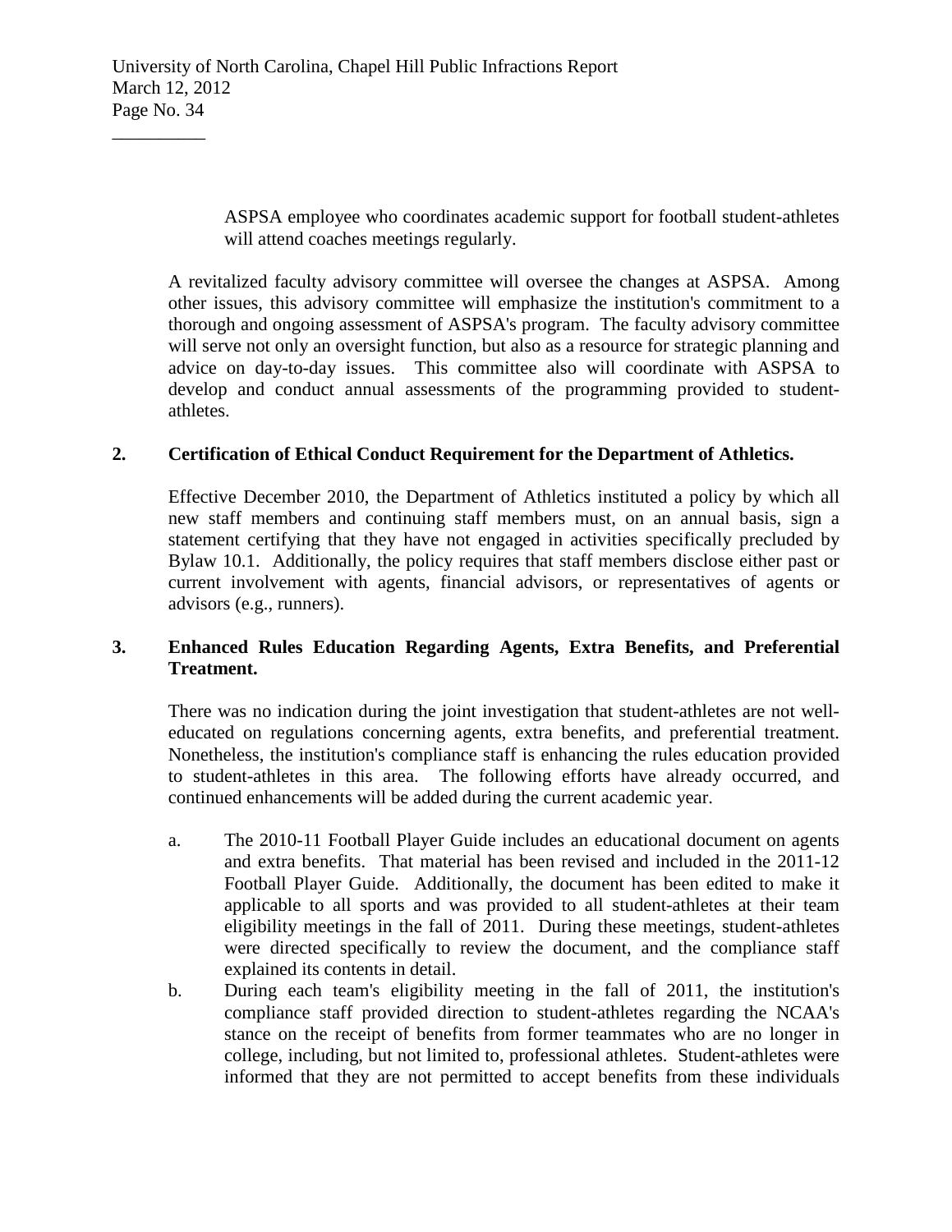ASPSA employee who coordinates academic support for football student-athletes will attend coaches meetings regularly.

A revitalized faculty advisory committee will oversee the changes at ASPSA. Among other issues, this advisory committee will emphasize the institution's commitment to a thorough and ongoing assessment of ASPSA's program. The faculty advisory committee will serve not only an oversight function, but also as a resource for strategic planning and advice on day-to-day issues. This committee also will coordinate with ASPSA to develop and conduct annual assessments of the programming provided to studentathletes.

### **2. Certification of Ethical Conduct Requirement for the Department of Athletics.**

Effective December 2010, the Department of Athletics instituted a policy by which all new staff members and continuing staff members must, on an annual basis, sign a statement certifying that they have not engaged in activities specifically precluded by Bylaw 10.1. Additionally, the policy requires that staff members disclose either past or current involvement with agents, financial advisors, or representatives of agents or advisors (e.g., runners).

## **3. Enhanced Rules Education Regarding Agents, Extra Benefits, and Preferential Treatment.**

There was no indication during the joint investigation that student-athletes are not welleducated on regulations concerning agents, extra benefits, and preferential treatment. Nonetheless, the institution's compliance staff is enhancing the rules education provided to student-athletes in this area. The following efforts have already occurred, and continued enhancements will be added during the current academic year.

- a. The 2010-11 Football Player Guide includes an educational document on agents and extra benefits. That material has been revised and included in the 2011-12 Football Player Guide. Additionally, the document has been edited to make it applicable to all sports and was provided to all student-athletes at their team eligibility meetings in the fall of 2011. During these meetings, student-athletes were directed specifically to review the document, and the compliance staff explained its contents in detail.
- b. During each team's eligibility meeting in the fall of 2011, the institution's compliance staff provided direction to student-athletes regarding the NCAA's stance on the receipt of benefits from former teammates who are no longer in college, including, but not limited to, professional athletes. Student-athletes were informed that they are not permitted to accept benefits from these individuals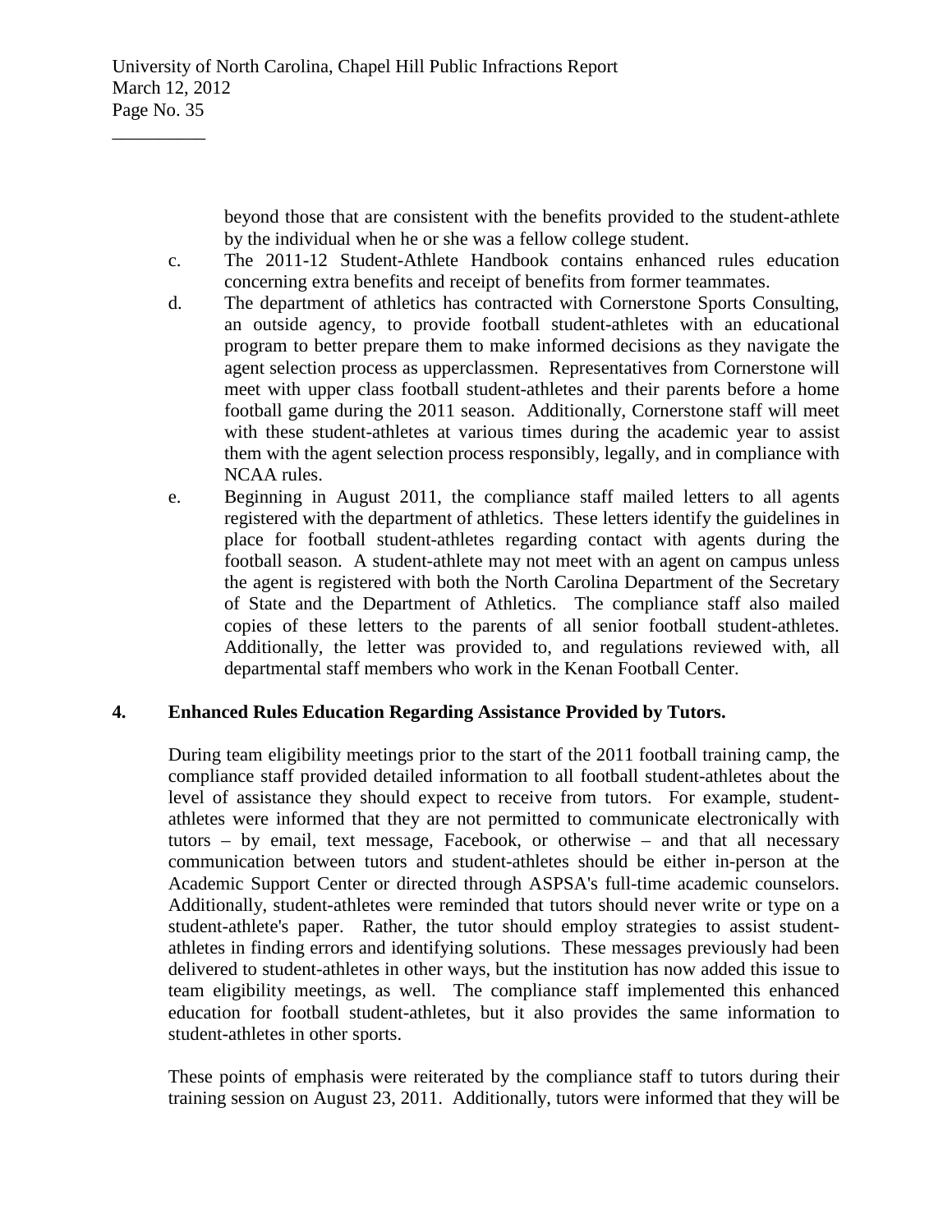beyond those that are consistent with the benefits provided to the student-athlete by the individual when he or she was a fellow college student.

- c. The 2011-12 Student-Athlete Handbook contains enhanced rules education concerning extra benefits and receipt of benefits from former teammates.
- d. The department of athletics has contracted with Cornerstone Sports Consulting, an outside agency, to provide football student-athletes with an educational program to better prepare them to make informed decisions as they navigate the agent selection process as upperclassmen. Representatives from Cornerstone will meet with upper class football student-athletes and their parents before a home football game during the 2011 season. Additionally, Cornerstone staff will meet with these student-athletes at various times during the academic year to assist them with the agent selection process responsibly, legally, and in compliance with NCAA rules.
- e. Beginning in August 2011, the compliance staff mailed letters to all agents registered with the department of athletics. These letters identify the guidelines in place for football student-athletes regarding contact with agents during the football season. A student-athlete may not meet with an agent on campus unless the agent is registered with both the North Carolina Department of the Secretary of State and the Department of Athletics. The compliance staff also mailed copies of these letters to the parents of all senior football student-athletes. Additionally, the letter was provided to, and regulations reviewed with, all departmental staff members who work in the Kenan Football Center.

## **4. Enhanced Rules Education Regarding Assistance Provided by Tutors.**

During team eligibility meetings prior to the start of the 2011 football training camp, the compliance staff provided detailed information to all football student-athletes about the level of assistance they should expect to receive from tutors. For example, studentathletes were informed that they are not permitted to communicate electronically with tutors – by email, text message, Facebook, or otherwise – and that all necessary communication between tutors and student-athletes should be either in-person at the Academic Support Center or directed through ASPSA's full-time academic counselors. Additionally, student-athletes were reminded that tutors should never write or type on a student-athlete's paper. Rather, the tutor should employ strategies to assist studentathletes in finding errors and identifying solutions. These messages previously had been delivered to student-athletes in other ways, but the institution has now added this issue to team eligibility meetings, as well. The compliance staff implemented this enhanced education for football student-athletes, but it also provides the same information to student-athletes in other sports.

These points of emphasis were reiterated by the compliance staff to tutors during their training session on August 23, 2011. Additionally, tutors were informed that they will be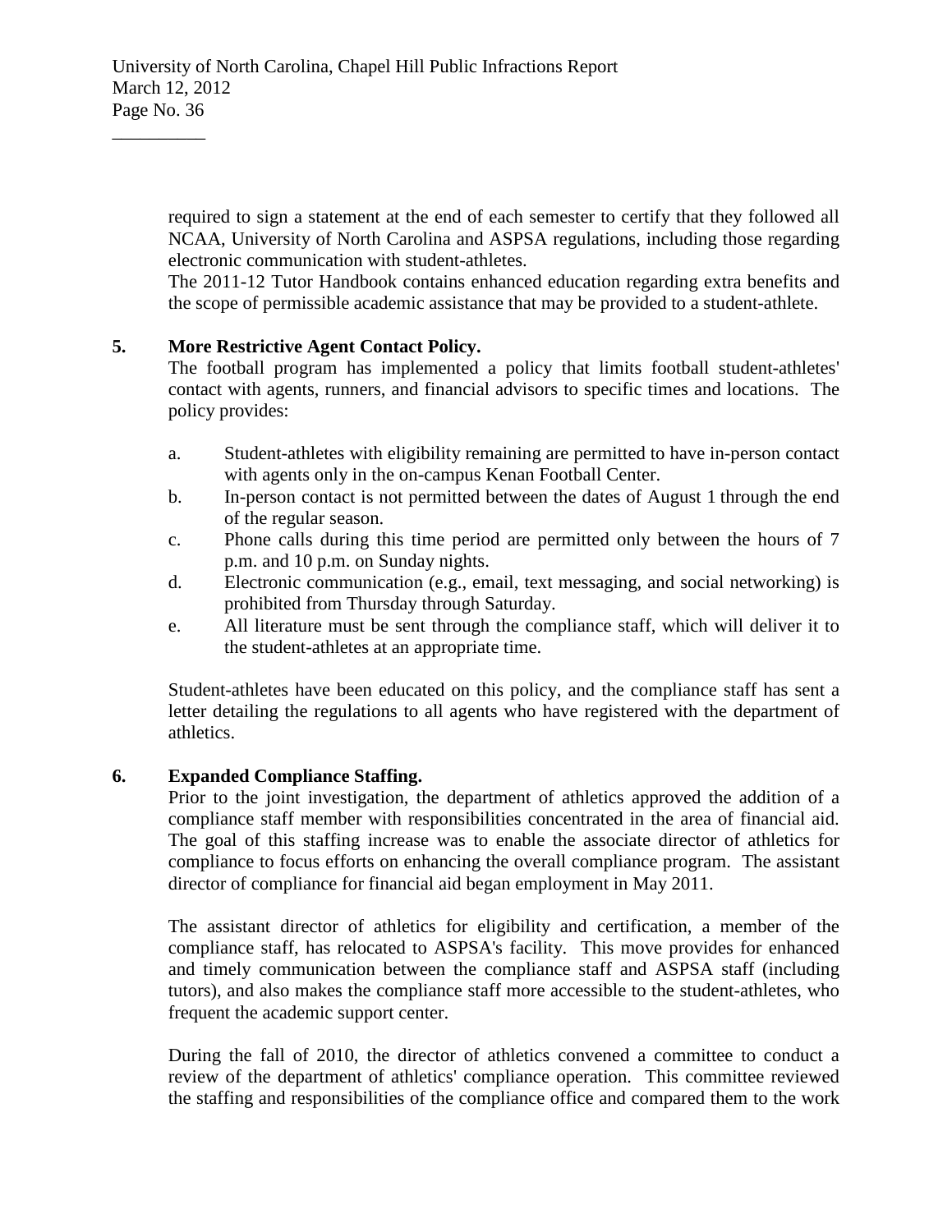required to sign a statement at the end of each semester to certify that they followed all NCAA, University of North Carolina and ASPSA regulations, including those regarding electronic communication with student-athletes.

The 2011-12 Tutor Handbook contains enhanced education regarding extra benefits and the scope of permissible academic assistance that may be provided to a student-athlete.

## **5. More Restrictive Agent Contact Policy.**

 $\overline{\phantom{a}}$  , where  $\overline{\phantom{a}}$ 

The football program has implemented a policy that limits football student-athletes' contact with agents, runners, and financial advisors to specific times and locations. The policy provides:

- a. Student-athletes with eligibility remaining are permitted to have in-person contact with agents only in the on-campus Kenan Football Center.
- b. In-person contact is not permitted between the dates of August 1 through the end of the regular season.
- c. Phone calls during this time period are permitted only between the hours of 7 p.m. and 10 p.m. on Sunday nights.
- d. Electronic communication (e.g., email, text messaging, and social networking) is prohibited from Thursday through Saturday.
- e. All literature must be sent through the compliance staff, which will deliver it to the student-athletes at an appropriate time.

Student-athletes have been educated on this policy, and the compliance staff has sent a letter detailing the regulations to all agents who have registered with the department of athletics.

## **6. Expanded Compliance Staffing.**

Prior to the joint investigation, the department of athletics approved the addition of a compliance staff member with responsibilities concentrated in the area of financial aid. The goal of this staffing increase was to enable the associate director of athletics for compliance to focus efforts on enhancing the overall compliance program. The assistant director of compliance for financial aid began employment in May 2011.

The assistant director of athletics for eligibility and certification, a member of the compliance staff, has relocated to ASPSA's facility. This move provides for enhanced and timely communication between the compliance staff and ASPSA staff (including tutors), and also makes the compliance staff more accessible to the student-athletes, who frequent the academic support center.

During the fall of 2010, the director of athletics convened a committee to conduct a review of the department of athletics' compliance operation. This committee reviewed the staffing and responsibilities of the compliance office and compared them to the work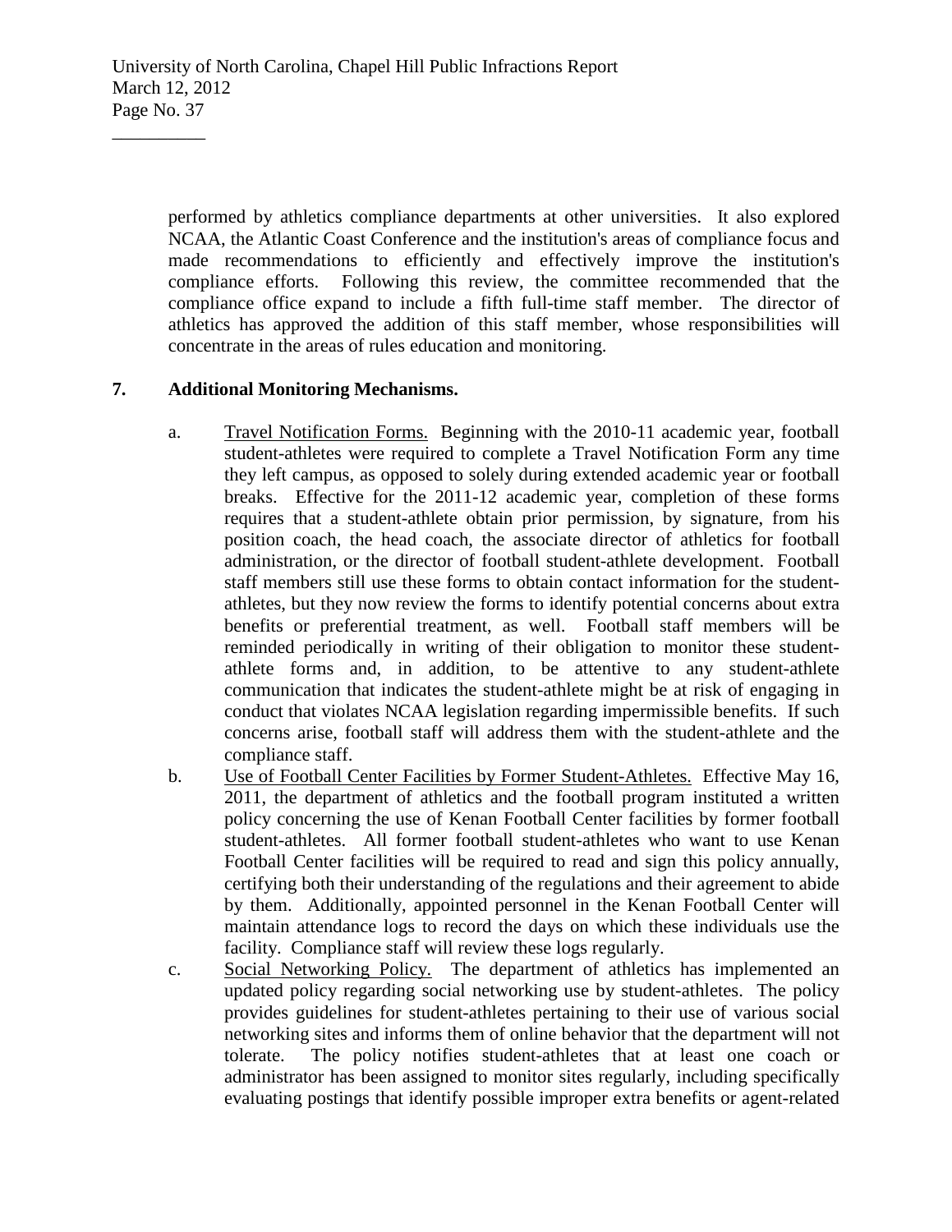performed by athletics compliance departments at other universities. It also explored NCAA, the Atlantic Coast Conference and the institution's areas of compliance focus and made recommendations to efficiently and effectively improve the institution's compliance efforts. Following this review, the committee recommended that the compliance office expand to include a fifth full-time staff member. The director of athletics has approved the addition of this staff member, whose responsibilities will concentrate in the areas of rules education and monitoring.

# **7. Additional Monitoring Mechanisms.**

 $\overline{\phantom{a}}$  , where  $\overline{\phantom{a}}$ 

- a. Travel Notification Forms. Beginning with the 2010-11 academic year, football student-athletes were required to complete a Travel Notification Form any time they left campus, as opposed to solely during extended academic year or football breaks. Effective for the 2011-12 academic year, completion of these forms requires that a student-athlete obtain prior permission, by signature, from his position coach, the head coach, the associate director of athletics for football administration, or the director of football student-athlete development. Football staff members still use these forms to obtain contact information for the studentathletes, but they now review the forms to identify potential concerns about extra benefits or preferential treatment, as well. Football staff members will be reminded periodically in writing of their obligation to monitor these studentathlete forms and, in addition, to be attentive to any student-athlete communication that indicates the student-athlete might be at risk of engaging in conduct that violates NCAA legislation regarding impermissible benefits. If such concerns arise, football staff will address them with the student-athlete and the compliance staff.
- b. Use of Football Center Facilities by Former Student-Athletes. Effective May 16, 2011, the department of athletics and the football program instituted a written policy concerning the use of Kenan Football Center facilities by former football student-athletes. All former football student-athletes who want to use Kenan Football Center facilities will be required to read and sign this policy annually, certifying both their understanding of the regulations and their agreement to abide by them. Additionally, appointed personnel in the Kenan Football Center will maintain attendance logs to record the days on which these individuals use the facility. Compliance staff will review these logs regularly.
- c. Social Networking Policy. The department of athletics has implemented an updated policy regarding social networking use by student-athletes. The policy provides guidelines for student-athletes pertaining to their use of various social networking sites and informs them of online behavior that the department will not tolerate. The policy notifies student-athletes that at least one coach or administrator has been assigned to monitor sites regularly, including specifically evaluating postings that identify possible improper extra benefits or agent-related